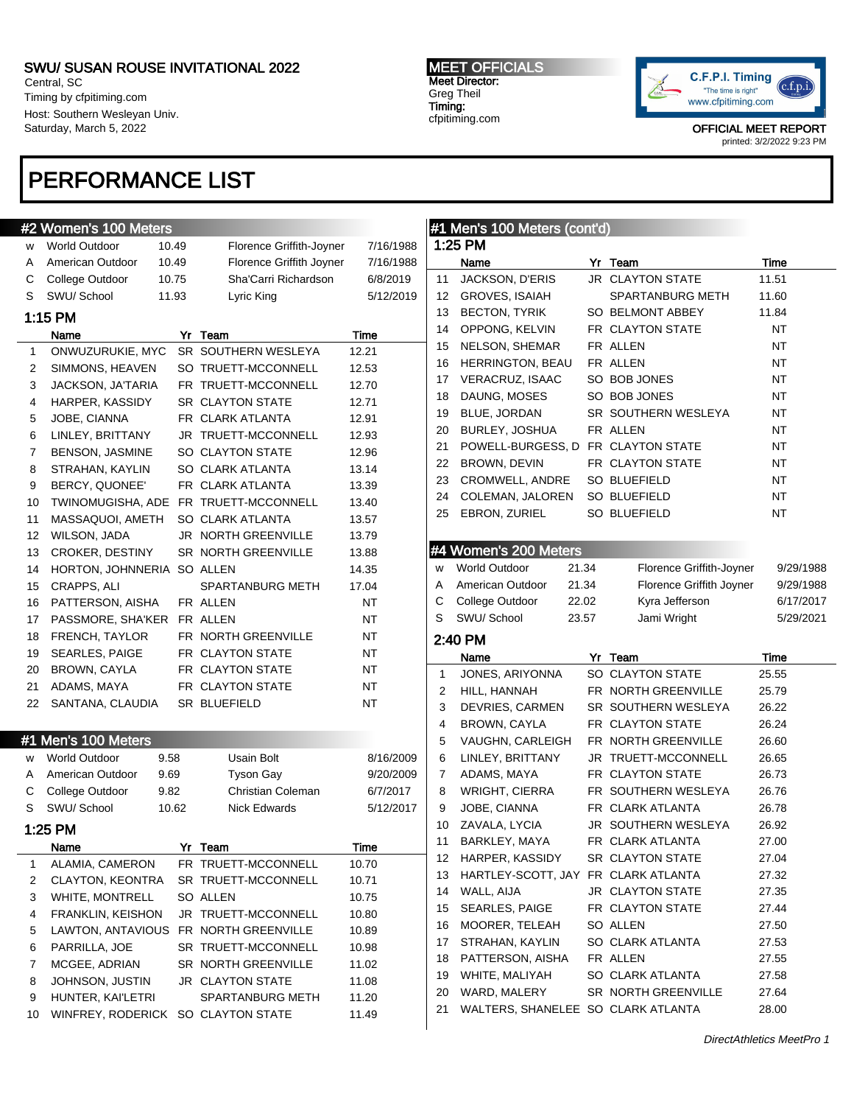Central, SC Timing by cfpitiming.com Host: Southern Wesleyan Univ. Saturday, March 5, 2022

## PERFORMANCE LIST

### #2 Women's 100 Meters

| w  | <b>World Outdoor</b>   | 10.49 | Florence Griffith-Joyner   | 7/16/1988 |
|----|------------------------|-------|----------------------------|-----------|
| A  | American Outdoor       | 10.49 | Florence Griffith Joyner   | 7/16/1988 |
| C  | College Outdoor        | 10.75 | Sha'Carri Richardson       | 6/8/2019  |
| S  | SWU/School             | 11.93 | Lyric King                 | 5/12/2019 |
|    | 1:15 PM                |       |                            |           |
|    | Name                   | Yr    | Team                       | Time      |
| 1  | ONWUZURUKIE, MYC       |       | SR SOUTHERN WESLEYA        | 12.21     |
| 2  | SIMMONS, HEAVEN        |       | SO TRUETT-MCCONNELL        | 12.53     |
| 3  | JACKSON, JA'TARIA      |       | FR TRUETT-MCCONNELL        | 12.70     |
| 4  | HARPER, KASSIDY        |       | <b>SR CLAYTON STATE</b>    | 12.71     |
| 5  | JOBE, CIANNA           |       | FR CLARK ATLANTA           | 12.91     |
| 6  | LINLEY, BRITTANY       |       | JR TRUETT-MCCONNELL        | 12.93     |
| 7  | <b>BENSON, JASMINE</b> |       | SO CLAYTON STATE           | 12.96     |
| 8  | STRAHAN, KAYLIN        |       | SO CLARK ATLANTA           | 13.14     |
| 9  | BERCY, QUONEE'         |       | FR CLARK ATLANTA           | 13.39     |
| 10 | TWINOMUGISHA, ADE      |       | FR TRUETT-MCCONNELL        | 13.40     |
| 11 | MASSAQUOI, AMETH       |       | SO CLARK ATLANTA           | 13.57     |
| 12 | WILSON, JADA           |       | <b>JR NORTH GREENVILLE</b> | 13.79     |
| 13 | <b>CROKER, DESTINY</b> |       | <b>SR NORTH GREENVILLE</b> | 13.88     |
| 14 | HORTON, JOHNNERIA      |       | SO ALLEN                   | 14.35     |
| 15 | CRAPPS, ALI            |       | SPARTANBURG METH           | 17.04     |
| 16 | PATTERSON, AISHA       |       | FR ALLEN                   | <b>NT</b> |
| 17 | PASSMORE, SHA'KER      |       | FR ALLEN                   | <b>NT</b> |
| 18 | FRENCH, TAYLOR         |       | FR NORTH GREENVILLE        | <b>NT</b> |
| 19 | SEARLES, PAIGE         |       | FR CLAYTON STATE           | <b>NT</b> |
| 20 | BROWN, CAYLA           |       | FR CLAYTON STATE           | <b>NT</b> |
| 21 | ADAMS, MAYA            |       | FR CLAYTON STATE           | NT        |
| 22 | SANTANA, CLAUDIA       |       | SR BLUEFIELD               | NT        |
|    |                        |       |                            |           |

## #1 Men's 100 Meters w World Outdoor 9.58 Usain Bolt 8/16/2009 A American Outdoor 9.69 Tyson Gay 9/20/2009 C College Outdoor 9.82 Christian Coleman 6/7/2017 S SWU/ School 10.62 Nick Edwards 5/12/2017 1:25 PM Name **Yr** Team Time 1 ALAMIA, CAMERON FR TRUETT-MCCONNELL 10.70 2 CLAYTON, KEONTRA SR TRUETT-MCCONNELL 10.71 3 WHITE, MONTRELL SO ALLEN 10.75 4 FRANKLIN, KEISHON JR TRUETT-MCCONNELL 10.80 5 LAWTON, ANTAVIOUS FR NORTH GREENVILLE 10.89

6 PARRILLA, JOE SR TRUETT-MCCONNELL 10.98 7 MCGEE, ADRIAN SR NORTH GREENVILLE 11.02 8 JOHNSON, JUSTIN JR CLAYTON STATE 11.08 9 HUNTER, KAI'LETRI SPARTANBURG METH 11.20 10 WINFREY, RODERICK SO CLAYTON STATE 11.49 MEET OFFICIALS Meet Director: Greg Theil Timing: cfpitiming.com



|    | #1 Men's 100 Meters (cont'd)       |       |                          |           |
|----|------------------------------------|-------|--------------------------|-----------|
|    | 1:25 PM                            |       |                          |           |
|    | Name                               |       | Yr Team                  | Time      |
| 11 | JACKSON, D'ERIS                    |       | <b>JR CLAYTON STATE</b>  | 11.51     |
| 12 | <b>GROVES, ISAIAH</b>              |       | <b>SPARTANBURG METH</b>  | 11.60     |
| 13 | <b>BECTON, TYRIK</b>               |       | SO BELMONT ABBEY         | 11.84     |
| 14 | OPPONG, KELVIN                     |       | FR CLAYTON STATE         | NT        |
| 15 | NELSON, SHEMAR                     |       | FR ALLEN                 | NT        |
| 16 | HERRINGTON, BEAU                   |       | FR ALLEN                 | NT        |
| 17 | <b>VERACRUZ, ISAAC</b>             |       | SO BOB JONES             | NT        |
| 18 | DAUNG, MOSES                       |       | SO BOB JONES             | NT        |
| 19 | BLUE, JORDAN                       |       | SR SOUTHERN WESLEYA      | NT        |
| 20 | BURLEY, JOSHUA                     |       | FR ALLEN                 | NT        |
| 21 | POWELL-BURGESS, D FR CLAYTON STATE |       |                          | NT        |
| 22 | BROWN, DEVIN                       |       | FR CLAYTON STATE         | NT        |
| 23 | CROMWELL, ANDRE                    |       | SO BLUEFIELD             | NT        |
| 24 | COLEMAN, JALOREN                   |       | SO BLUEFIELD             | NT        |
| 25 | EBRON, ZURIEL                      |       | <b>SO BLUEFIELD</b>      | NΤ        |
|    |                                    |       |                          |           |
|    | #4 Women's 200 Meters              |       |                          |           |
| w  | <b>World Outdoor</b>               | 21.34 | Florence Griffith-Joyner | 9/29/1988 |
| A  | American Outdoor                   | 21.34 | Florence Griffith Joyner | 9/29/1988 |
| С  | College Outdoor                    | 22.02 | Kyra Jefferson           | 6/17/2017 |
| S  | SWU/ School                        | 23.57 | Jami Wright              | 5/29/2021 |
|    | 2:40 PM                            |       |                          |           |
|    | Name                               |       | Yr Team                  | Time      |
| 1  | JONES, ARIYONNA                    |       | SO CLAYTON STATE         | 25.55     |
| 2  | HILL, HANNAH                       |       | FR NORTH GREENVILLE      | 25.79     |
| 3  | DEVRIES, CARMEN                    |       |                          | 26.22     |
| 4  | BROWN, CAYLA                       |       | SR SOUTHERN WESLEYA      |           |
|    |                                    |       | FR CLAYTON STATE         | 26.24     |
| 5  | VAUGHN, CARLEIGH                   |       | FR NORTH GREENVILLE      | 26.60     |
| 6  | LINLEY, BRITTANY                   |       | JR TRUETT-MCCONNELL      | 26.65     |
| 7  | ADAMS, MAYA                        |       | FR CLAYTON STATE         | 26.73     |
| 8  | WRIGHT, CIERRA                     |       | FR SOUTHERN WESLEYA      | 26.76     |
| 9  | JOBE, CIANNA                       |       | FR CLARK ATLANTA         | 26.78     |
| 10 | ZAVALA, LYCIA                      |       | JR SOUTHERN WESLEYA      | 26.92     |
| 11 | BARKLEY, MAYA                      |       | FR CLARK ATLANTA         | 27.00     |
| 12 | HARPER, KASSIDY                    |       | SR CLAYTON STATE         | 27.04     |
| 13 | HARTLEY-SCOTT, JAY                 |       | FR CLARK ATLANTA         | 27.32     |
| 14 | WALL, AIJA                         |       | JR CLAYTON STATE         | 27.35     |
| 15 | SEARLES, PAIGE                     |       | FR CLAYTON STATE         | 27.44     |
| 16 | MOORER, TELEAH                     |       | SO ALLEN                 | 27.50     |
| 17 | STRAHAN, KAYLIN                    |       | SO CLARK ATLANTA         | 27.53     |
| 18 | PATTERSON, AISHA                   |       | FR ALLEN                 | 27.55     |
| 19 | WHITE, MALIYAH                     |       | SO CLARK ATLANTA         | 27.58     |
| 20 | WARD, MALERY                       |       | SR NORTH GREENVILLE      | 27.64     |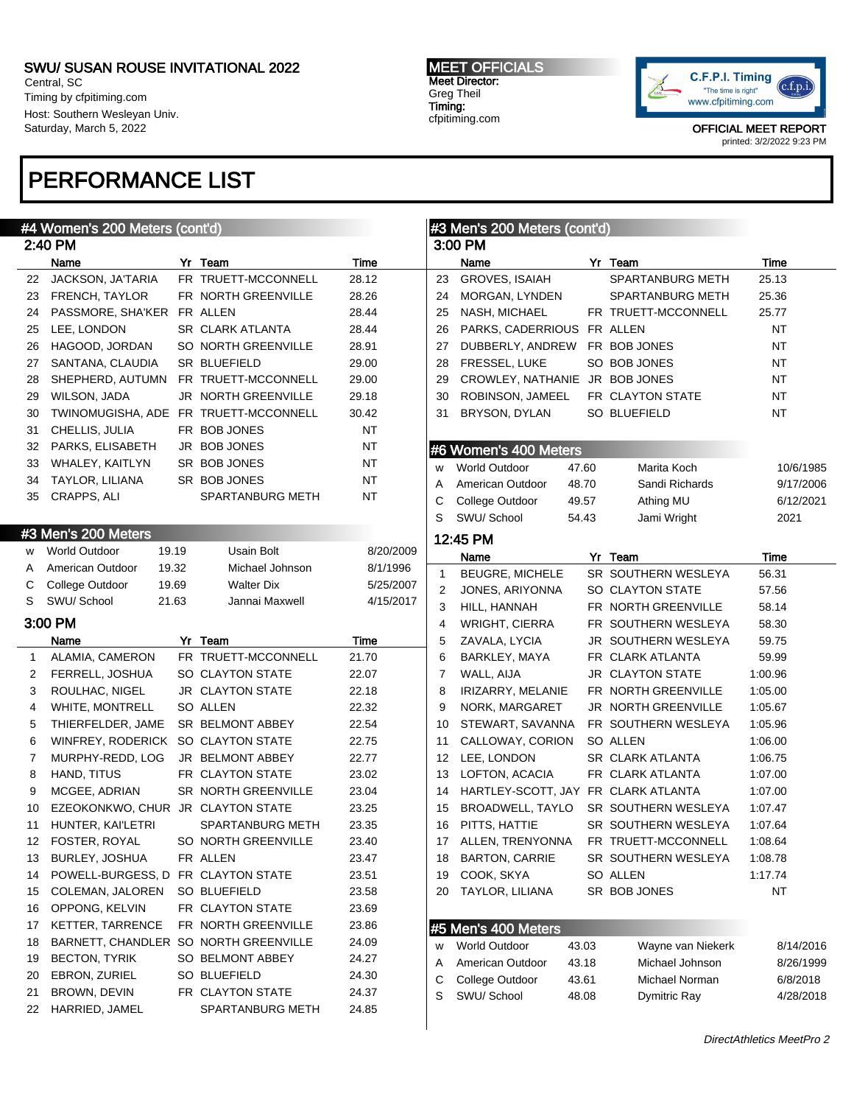Central, SC Timing by cfpitiming.com Host: Southern Wesleyan Univ. Saturday, March 5, 2022

## PERFORMANCE LIST

#### MEET OFFICIALS Meet Director: Greg Theil Timing: cfpitiming.com



|    | #4 Women's 200 Meters (cont'd)        |                            |           |                | #3 Men's 200 Meters (cont'd)   |       |                         |           |
|----|---------------------------------------|----------------------------|-----------|----------------|--------------------------------|-------|-------------------------|-----------|
|    | 2:40 PM                               |                            |           |                | 3:00 PM                        |       |                         |           |
|    | Name                                  | Yr Team                    | Time      |                | Name                           |       | Yr Team                 | Time      |
| 22 | JACKSON, JA'TARIA                     | FR TRUETT-MCCONNELL        | 28.12     | 23             | <b>GROVES, ISAIAH</b>          |       | <b>SPARTANBURG METH</b> | 25.13     |
|    | 23 FRENCH, TAYLOR                     | FR NORTH GREENVILLE        | 28.26     | 24             | MORGAN, LYNDEN                 |       | <b>SPARTANBURG METH</b> | 25.36     |
| 24 | PASSMORE, SHA'KER FR ALLEN            |                            | 28.44     | 25             | NASH, MICHAEL                  |       | FR TRUETT-MCCONNELL     | 25.77     |
| 25 | LEE, LONDON                           | SR CLARK ATLANTA           | 28.44     | 26             | PARKS, CADERRIOUS              |       | FR ALLEN                | <b>NT</b> |
| 26 | HAGOOD, JORDAN                        | SO NORTH GREENVILLE        | 28.91     | 27             | DUBBERLY, ANDREW               |       | FR BOB JONES            | <b>NT</b> |
| 27 | SANTANA, CLAUDIA                      | <b>SR BLUEFIELD</b>        | 29.00     | 28             | FRESSEL, LUKE                  |       | SO BOB JONES            | NT        |
| 28 | SHEPHERD, AUTUMN                      | FR TRUETT-MCCONNELL        | 29.00     | 29             | CROWLEY, NATHANIE JR BOB JONES |       |                         | NT        |
| 29 | <b>WILSON, JADA</b>                   | JR NORTH GREENVILLE        | 29.18     | 30             | ROBINSON, JAMEEL               |       | FR CLAYTON STATE        | NT        |
| 30 | TWINOMUGISHA, ADE FR TRUETT-MCCONNELL |                            | 30.42     | 31             | BRYSON, DYLAN                  |       | <b>SO BLUEFIELD</b>     | NT        |
| 31 | CHELLIS, JULIA                        | FR BOB JONES               | NT        |                |                                |       |                         |           |
| 32 | PARKS, ELISABETH                      | JR BOB JONES               | NT        |                |                                |       |                         |           |
| 33 | WHALEY, KAITLYN                       | SR BOB JONES               | NT        |                | #6 Women's 400 Meters          |       |                         |           |
|    | TAYLOR, LILIANA                       | SR BOB JONES               | <b>NT</b> | w              | <b>World Outdoor</b>           | 47.60 | Marita Koch             | 10/6/1985 |
| 34 |                                       |                            |           | A              | American Outdoor               | 48.70 | Sandi Richards          | 9/17/2006 |
| 35 | CRAPPS, ALI                           | SPARTANBURG METH           | <b>NT</b> | С              | College Outdoor                | 49.57 | Athing MU               | 6/12/2021 |
|    |                                       |                            |           | S              | SWU/School                     | 54.43 | Jami Wright             | 2021      |
|    | #3 Men's 200 Meters                   |                            |           |                | 12:45 PM                       |       |                         |           |
| w  | <b>World Outdoor</b><br>19.19         | Usain Bolt                 | 8/20/2009 |                | Name                           |       | Yr Team                 | Time      |
| A  | 19.32<br>American Outdoor             | Michael Johnson            | 8/1/1996  | 1              | <b>BEUGRE, MICHELE</b>         |       | SR SOUTHERN WESLEYA     | 56.31     |
| С  | College Outdoor<br>19.69              | <b>Walter Dix</b>          | 5/25/2007 | $\overline{2}$ | JONES, ARIYONNA                |       | SO CLAYTON STATE        | 57.56     |
| S  | SWU/ School<br>21.63                  | Jannai Maxwell             | 4/15/2017 | 3              | HILL, HANNAH                   |       | FR NORTH GREENVILLE     | 58.14     |
|    | 3:00 PM                               |                            |           | 4              | WRIGHT, CIERRA                 |       | FR SOUTHERN WESLEYA     | 58.30     |
|    | Name                                  | Yr Team                    | Time      | 5              | ZAVALA, LYCIA                  |       | JR SOUTHERN WESLEYA     | 59.75     |
| 1  | ALAMIA, CAMERON                       | FR TRUETT-MCCONNELL        | 21.70     | 6              | BARKLEY, MAYA                  |       | FR CLARK ATLANTA        | 59.99     |
| 2  | FERRELL, JOSHUA                       | SO CLAYTON STATE           | 22.07     | 7              | WALL, AIJA                     |       | <b>JR CLAYTON STATE</b> | 1:00.96   |
| 3  | ROULHAC, NIGEL                        | <b>JR CLAYTON STATE</b>    | 22.18     | 8              | IRIZARRY, MELANIE              |       | FR NORTH GREENVILLE     | 1:05.00   |
| 4  | <b>WHITE, MONTRELL</b>                | SO ALLEN                   | 22.32     | 9              | NORK, MARGARET                 |       | JR NORTH GREENVILLE     | 1:05.67   |
| 5  | THIERFELDER, JAME                     | SR BELMONT ABBEY           | 22.54     | 10             | STEWART, SAVANNA               |       | FR SOUTHERN WESLEYA     | 1:05.96   |
| 6  | WINFREY, RODERICK SO CLAYTON STATE    |                            | 22.75     | 11             | CALLOWAY, CORION               |       | SO ALLEN                | 1:06.00   |
| 7  | MURPHY-REDD, LOG                      | JR BELMONT ABBEY           | 22.77     | 12             | LEE, LONDON                    |       | SR CLARK ATLANTA        | 1:06.75   |
| 8  | HAND, TITUS                           | FR CLAYTON STATE           | 23.02     | 13             | LOFTON, ACACIA                 |       | FR CLARK ATLANTA        | 1:07.00   |
| 9  | MCGEE, ADRIAN                         | SR NORTH GREENVILLE        | 23.04     | 14             | HARTLEY-SCOTT, JAY             |       | FR CLARK ATLANTA        | 1:07.00   |
| 10 | EZEOKONKWO, CHUR JR CLAYTON STATE     |                            | 23.25     | 15             | BROADWELL, TAYLO               |       | SR SOUTHERN WESLEYA     | 1:07.47   |
| 11 | HUNTER, KAI'LETRI                     | <b>SPARTANBURG METH</b>    | 23.35     | 16             | PITTS, HATTIE                  |       | SR SOUTHERN WESLEYA     | 1:07.64   |
|    | 12 FOSTER, ROYAL                      | <b>SO NORTH GREENVILLE</b> | 23.40     | 17             | ALLEN, TRENYONNA               |       | FR TRUETT-MCCONNELL     | 1:08.64   |
| 13 | BURLEY, JOSHUA                        | FR ALLEN                   | 23.47     | 18             | <b>BARTON, CARRIE</b>          |       | SR SOUTHERN WESLEYA     | 1:08.78   |
| 14 | POWELL-BURGESS, D FR CLAYTON STATE    |                            | 23.51     | 19             | COOK, SKYA                     |       | SO ALLEN                | 1:17.74   |
|    |                                       |                            |           |                |                                |       |                         | <b>NT</b> |
| 15 | COLEMAN, JALOREN                      | SO BLUEFIELD               | 23.58     | 20             | <b>TAYLOR, LILIANA</b>         |       | SR BOB JONES            |           |
| 16 | OPPONG, KELVIN                        | FR CLAYTON STATE           | 23.69     |                |                                |       |                         |           |
| 17 | <b>KETTER, TARRENCE</b>               | FR NORTH GREENVILLE        | 23.86     |                | #5 Men's 400 Meters            |       |                         |           |
| 18 | BARNETT, CHANDLER SO NORTH GREENVILLE |                            | 24.09     | W              | World Outdoor                  | 43.03 | Wayne van Niekerk       | 8/14/2016 |
| 19 | <b>BECTON, TYRIK</b>                  | SO BELMONT ABBEY           | 24.27     | Α              | American Outdoor               | 43.18 | Michael Johnson         | 8/26/1999 |
| 20 | EBRON, ZURIEL                         | SO BLUEFIELD               | 24.30     | С              | College Outdoor                | 43.61 | Michael Norman          | 6/8/2018  |
| 21 | BROWN, DEVIN                          | FR CLAYTON STATE           | 24.37     | S              | SWU/ School                    | 48.08 | Dymitric Ray            | 4/28/2018 |
| 22 | HARRIED, JAMEL                        | SPARTANBURG METH           | 24.85     |                |                                |       |                         |           |
|    |                                       |                            |           |                |                                |       |                         |           |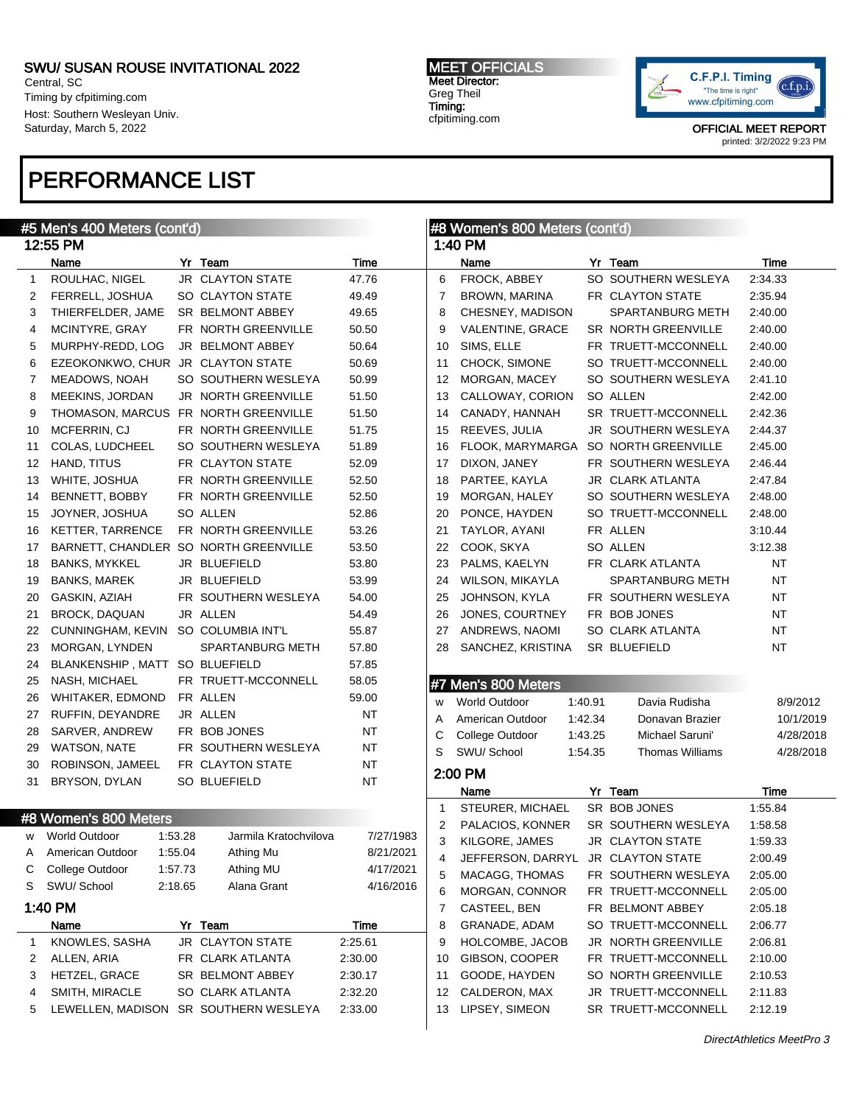Central, SC Timing by cfpitiming.com Host: Southern Wesleyan Univ. Saturday, March 5, 2022

## PERFORMANCE LIST

#### MEET OFFICIALS Meet Director: Greg Theil Timing: cfpitiming.com



|              | #5 Men's 400 Meters (cont'd)          |         |                                       |           |              | #8 Women's 800 Meters (cont'd) |         |                        |           |
|--------------|---------------------------------------|---------|---------------------------------------|-----------|--------------|--------------------------------|---------|------------------------|-----------|
|              | 12:55 PM                              |         |                                       |           |              | 1:40 PM                        |         |                        |           |
|              | Name                                  |         | Yr Team                               | Time      |              | Name                           |         | Yr Team                | Time      |
| $\mathbf{1}$ | ROULHAC, NIGEL                        |         | <b>JR CLAYTON STATE</b>               | 47.76     | 6            | FROCK, ABBEY                   |         | SO SOUTHERN WESLEYA    | 2:34.33   |
| 2            | FERRELL, JOSHUA                       |         | SO CLAYTON STATE                      | 49.49     | 7            | BROWN, MARINA                  |         | FR CLAYTON STATE       | 2:35.94   |
| 3            | THIERFELDER, JAME                     |         | <b>SR BELMONT ABBEY</b>               | 49.65     | 8            | CHESNEY, MADISON               |         | SPARTANBURG METH       | 2:40.00   |
| 4            | MCINTYRE, GRAY                        |         | FR NORTH GREENVILLE                   | 50.50     | 9            | VALENTINE, GRACE               |         | SR NORTH GREENVILLE    | 2:40.00   |
| 5            | MURPHY-REDD, LOG                      |         | JR BELMONT ABBEY                      | 50.64     | 10           | SIMS, ELLE                     |         | FR TRUETT-MCCONNELL    | 2:40.00   |
| 6            | EZEOKONKWO, CHUR JR CLAYTON STATE     |         |                                       | 50.69     | 11           | CHOCK, SIMONE                  |         | SO TRUETT-MCCONNELL    | 2:40.00   |
| 7            | <b>MEADOWS, NOAH</b>                  |         | SO SOUTHERN WESLEYA                   | 50.99     | 12           | MORGAN, MACEY                  |         | SO SOUTHERN WESLEYA    | 2:41.10   |
| 8            | MEEKINS, JORDAN                       |         | JR NORTH GREENVILLE                   | 51.50     | 13           | CALLOWAY, CORION               |         | SO ALLEN               | 2:42.00   |
| 9            | THOMASON, MARCUS FR NORTH GREENVILLE  |         |                                       | 51.50     | 14           | CANADY, HANNAH                 |         | SR TRUETT-MCCONNELL    | 2:42.36   |
| 10           | MCFERRIN, CJ                          |         | FR NORTH GREENVILLE                   | 51.75     | 15           | REEVES, JULIA                  |         | JR SOUTHERN WESLEYA    | 2:44.37   |
| 11           | COLAS, LUDCHEEL                       |         | SO SOUTHERN WESLEYA                   | 51.89     | 16           | FLOOK, MARYMARGA               |         | SO NORTH GREENVILLE    | 2:45.00   |
| 12           | HAND, TITUS                           |         | FR CLAYTON STATE                      | 52.09     | 17           | DIXON, JANEY                   |         | FR SOUTHERN WESLEYA    | 2:46.44   |
| 13           | WHITE, JOSHUA                         |         | FR NORTH GREENVILLE                   | 52.50     | 18           | PARTEE, KAYLA                  |         | JR CLARK ATLANTA       | 2:47.84   |
| 14           | BENNETT, BOBBY                        |         | FR NORTH GREENVILLE                   | 52.50     | 19           | MORGAN, HALEY                  |         | SO SOUTHERN WESLEYA    | 2:48.00   |
| 15           | JOYNER, JOSHUA                        |         | SO ALLEN                              | 52.86     | 20           | PONCE, HAYDEN                  |         | SO TRUETT-MCCONNELL    | 2:48.00   |
| 16           | <b>KETTER, TARRENCE</b>               |         | FR NORTH GREENVILLE                   | 53.26     | 21           | TAYLOR, AYANI                  |         | FR ALLEN               | 3:10.44   |
| 17           | BARNETT, CHANDLER SO NORTH GREENVILLE |         |                                       | 53.50     | 22           | COOK, SKYA                     |         | SO ALLEN               | 3:12.38   |
| 18           | <b>BANKS, MYKKEL</b>                  |         | JR BLUEFIELD                          | 53.80     | 23           | PALMS, KAELYN                  |         | FR CLARK ATLANTA       | NT        |
| 19           | <b>BANKS, MAREK</b>                   |         | JR BLUEFIELD                          | 53.99     | 24           | WILSON, MIKAYLA                |         | SPARTANBURG METH       | <b>NT</b> |
| 20           | GASKIN, AZIAH                         |         | FR SOUTHERN WESLEYA                   | 54.00     | 25           | JOHNSON, KYLA                  |         | FR SOUTHERN WESLEYA    | NT        |
| 21           | BROCK, DAQUAN                         |         | JR ALLEN                              | 54.49     | 26           | JONES, COURTNEY                |         | FR BOB JONES           | <b>NT</b> |
| 22           | CUNNINGHAM, KEVIN                     |         | SO COLUMBIA INT'L                     | 55.87     | 27           | ANDREWS, NAOMI                 |         | SO CLARK ATLANTA       | NT        |
| 23           | MORGAN, LYNDEN                        |         | SPARTANBURG METH                      | 57.80     | 28           | SANCHEZ, KRISTINA              |         | SR BLUEFIELD           | NT        |
| 24           | BLANKENSHIP, MATT SO BLUEFIELD        |         |                                       | 57.85     |              |                                |         |                        |           |
| 25           | NASH, MICHAEL                         |         | FR TRUETT-MCCONNELL                   | 58.05     |              | #7 Men's 800 Meters            |         |                        |           |
| 26           | WHITAKER, EDMOND                      |         | FR ALLEN                              | 59.00     | W            | <b>World Outdoor</b>           | 1:40.91 | Davia Rudisha          | 8/9/2012  |
| 27           | RUFFIN, DEYANDRE                      |         | JR ALLEN                              | <b>NT</b> | A            | American Outdoor               | 1:42.34 | Donavan Brazier        | 10/1/2019 |
| 28           | SARVER, ANDREW                        |         | FR BOB JONES                          | NT        | С            | College Outdoor                | 1:43.25 | Michael Saruni'        | 4/28/2018 |
| 29           | <b>WATSON, NATE</b>                   |         | FR SOUTHERN WESLEYA                   | NT        | S            | SWU/ School                    | 1:54.35 | <b>Thomas Williams</b> | 4/28/2018 |
| 30           | ROBINSON, JAMEEL                      |         | FR CLAYTON STATE                      | NT        |              |                                |         |                        |           |
| 31           | BRYSON, DYLAN                         |         | SO BLUEFIELD                          | NT        |              | 2:00 PM                        |         |                        |           |
|              |                                       |         |                                       |           |              | Name                           |         | Yr Team                | Time      |
|              | #8 Women's 800 Meters                 |         |                                       |           | $\mathbf{1}$ | STEURER, MICHAEL               |         | SR BOB JONES           | 1:55.84   |
|              | w World Outdoor                       | 1:53.28 | Jarmila Kratochvilova                 | 7/27/1983 | 2            | PALACIOS, KONNER               |         | SR SOUTHERN WESLEYA    | 1:58.58   |
| Α            | American Outdoor                      | 1:55.04 | Athing Mu                             | 8/21/2021 | 3            | KILGORE, JAMES                 |         | JR CLAYTON STATE       | 1.59.33   |
| С            | College Outdoor                       | 1:57.73 | Athing MU                             | 4/17/2021 | 4            | JEFFERSON, DARRYL              |         | JR CLAYTON STATE       | 2:00.49   |
| S            | SWU/ School                           | 2:18.65 | Alana Grant                           | 4/16/2016 | 5            | MACAGG, THOMAS                 |         | FR SOUTHERN WESLEYA    | 2:05.00   |
|              | 1:40 PM                               |         |                                       |           | 6            | MORGAN, CONNOR                 |         | FR TRUETT-MCCONNELL    | 2:05.00   |
|              |                                       |         |                                       |           | 7            | CASTEEL, BEN                   |         | FR BELMONT ABBEY       | 2:05.18   |
|              | Name                                  |         | Yr Team                               | Time      | 8            | GRANADE, ADAM                  |         | SO TRUETT-MCCONNELL    | 2:06.77   |
| 1            | KNOWLES, SASHA                        |         | JR CLAYTON STATE                      | 2:25.61   | 9            | HOLCOMBE, JACOB                |         | JR NORTH GREENVILLE    | 2:06.81   |
| 2            | ALLEN, ARIA                           |         | FR CLARK ATLANTA                      | 2:30.00   | 10           | GIBSON, COOPER                 |         | FR TRUETT-MCCONNELL    | 2:10.00   |
| З            | HETZEL, GRACE                         |         | SR BELMONT ABBEY                      | 2:30.17   | 11           | GOODE, HAYDEN                  |         | SO NORTH GREENVILLE    | 2:10.53   |
| 4            | SMITH, MIRACLE                        |         | SO CLARK ATLANTA                      | 2:32.20   | 12           | CALDERON, MAX                  |         | JR TRUETT-MCCONNELL    | 2:11.83   |
| 5            |                                       |         | LEWELLEN, MADISON SR SOUTHERN WESLEYA | 2:33.00   | 13           | LIPSEY, SIMEON                 |         | SR TRUETT-MCCONNELL    | 2:12.19   |
|              |                                       |         |                                       |           |              |                                |         |                        |           |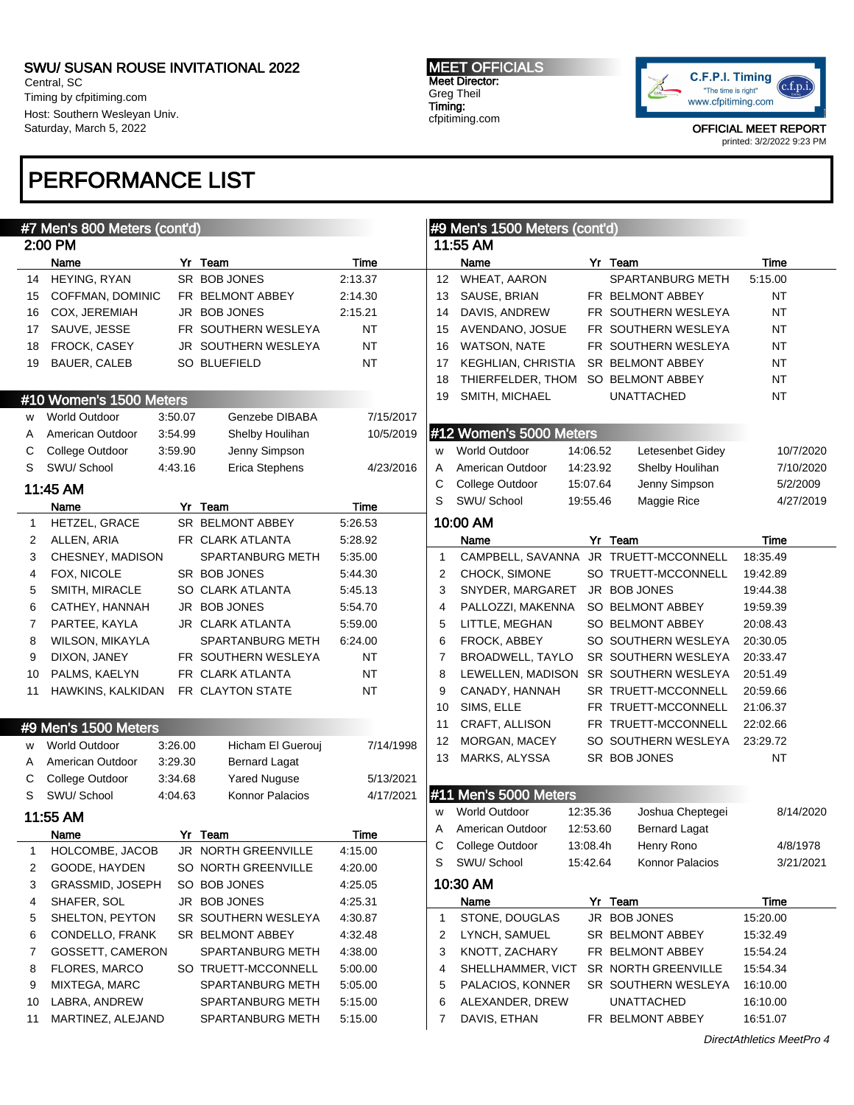Central, SC Timing by cfpitiming.com Host: Southern Wesleyan Univ. Saturday, March 5, 2022

## PERFORMANCE LIST

#### MEET OFFICIALS Meet Director: Greg Theil Timing: cfpitiming.com



OFFICIAL MEET REPORT printed: 3/2/2022 9:23 PM

|              | #7 Men's 800 Meters (cont'd)    |                                         |                 |                   | #9 Men's 1500 Meters (cont'd)      |          |                                            |                      |
|--------------|---------------------------------|-----------------------------------------|-----------------|-------------------|------------------------------------|----------|--------------------------------------------|----------------------|
|              | 2:00 PM                         |                                         |                 |                   | 11:55 AM                           |          |                                            |                      |
|              | Name                            | Yr Team                                 | <b>Time</b>     |                   | Name                               |          | Yr Team                                    | Time                 |
| 14           | HEYING, RYAN                    | SR BOB JONES                            | 2:13.37         | $12 \overline{ }$ | <b>WHEAT, AARON</b>                |          | SPARTANBURG METH                           | 5:15.00              |
| 15           | COFFMAN, DOMINIC                | FR BELMONT ABBEY                        | 2:14.30         | 13                | SAUSE, BRIAN                       |          | FR BELMONT ABBEY                           | NT                   |
| 16           | COX, JEREMIAH                   | JR BOB JONES                            | 2:15.21         | 14                | DAVIS, ANDREW                      |          | FR SOUTHERN WESLEYA                        | <b>NT</b>            |
| 17           | SAUVE, JESSE                    | FR SOUTHERN WESLEYA                     | <b>NT</b>       | 15                | AVENDANO, JOSUE                    |          | FR SOUTHERN WESLEYA                        | <b>NT</b>            |
| 18           | FROCK, CASEY                    | JR SOUTHERN WESLEYA                     | <b>NT</b>       | 16                | <b>WATSON, NATE</b>                |          | FR SOUTHERN WESLEYA                        | <b>NT</b>            |
| 19           | <b>BAUER, CALEB</b>             | SO BLUEFIELD                            | <b>NT</b>       | 17                | KEGHLIAN, CHRISTIA                 |          | SR BELMONT ABBEY                           | <b>NT</b>            |
|              |                                 |                                         |                 | 18                | THIERFELDER, THOM SO BELMONT ABBEY |          |                                            | <b>NT</b>            |
|              | #10 Women's 1500 Meters         |                                         |                 | 19                | SMITH, MICHAEL                     |          | <b>UNATTACHED</b>                          | <b>NT</b>            |
| w            | <b>World Outdoor</b><br>3:50.07 | Genzebe DIBABA                          | 7/15/2017       |                   |                                    |          |                                            |                      |
| A            | 3:54.99<br>American Outdoor     | Shelby Houlihan                         | 10/5/2019       |                   | #12 Women's 5000 Meters            |          |                                            |                      |
| С            | College Outdoor<br>3.59.90      | Jenny Simpson                           |                 | W                 | <b>World Outdoor</b>               | 14:06.52 | Letesenbet Gidey                           | 10/7/2020            |
| S            | SWU/ School<br>4:43.16          | Erica Stephens                          | 4/23/2016       | A                 | American Outdoor                   | 14:23.92 | Shelby Houlihan                            | 7/10/2020            |
|              | 11:45 AM                        |                                         |                 | C                 | College Outdoor                    | 15:07.64 | Jenny Simpson                              | 5/2/2009             |
|              |                                 |                                         |                 | S                 | SWU/ School                        | 19:55.46 | Maggie Rice                                | 4/27/2019            |
|              | Name                            | Yr Team<br>SR BELMONT ABBEY             | Time<br>5:26.53 |                   | 10:00 AM                           |          |                                            |                      |
| $\mathbf{1}$ | HETZEL, GRACE<br>ALLEN, ARIA    | FR CLARK ATLANTA                        | 5:28.92         |                   | Name                               |          | Yr Team                                    | Time                 |
| 2            | CHESNEY, MADISON                | <b>SPARTANBURG METH</b>                 | 5:35.00         | $\mathbf{1}$      | CAMPBELL, SAVANNA                  |          | JR TRUETT-MCCONNELL                        | 18:35.49             |
| 3            |                                 |                                         |                 |                   |                                    |          | SO TRUETT-MCCONNELL                        | 19:42.89             |
| 4            | FOX, NICOLE<br>SMITH, MIRACLE   | SR BOB JONES                            | 5:44.30         | 2                 | CHOCK, SIMONE<br>SNYDER, MARGARET  |          | JR BOB JONES                               |                      |
| 5            |                                 | SO CLARK ATLANTA                        | 5:45.13         | 3                 |                                    |          | SO BELMONT ABBEY                           | 19:44.38             |
| 6            | CATHEY, HANNAH                  | JR BOB JONES                            | 5:54.70         | 4                 | PALLOZZI, MAKENNA                  |          |                                            | 19:59.39             |
| 7            | PARTEE, KAYLA                   | JR CLARK ATLANTA                        | 5:59.00         | 5                 | LITTLE, MEGHAN                     |          | SO BELMONT ABBEY                           | 20:08.43             |
| 8            | <b>WILSON, MIKAYLA</b>          | SPARTANBURG METH<br>FR SOUTHERN WESLEYA | 6:24.00         | 6                 | FROCK, ABBEY                       |          | SO SOUTHERN WESLEYA                        | 20:30.05             |
| 9            | DIXON, JANEY                    |                                         | <b>NT</b>       | 7                 | BROADWELL, TAYLO                   |          | SR SOUTHERN WESLEYA                        | 20:33.47             |
| 10           | PALMS, KAELYN                   | FR CLARK ATLANTA                        | <b>NT</b>       | 8                 | LEWELLEN, MADISON                  |          | SR SOUTHERN WESLEYA                        | 20:51.49             |
| 11           | HAWKINS, KALKIDAN               | FR CLAYTON STATE                        | <b>NT</b>       | 9                 | CANADY, HANNAH                     |          | SR TRUETT-MCCONNELL                        | 20:59.66             |
|              |                                 |                                         |                 | 10                | SIMS, ELLE                         |          | FR TRUETT-MCCONNELL                        | 21:06.37             |
|              | #9 Men's 1500 Meters            |                                         |                 | 11                | CRAFT, ALLISON                     |          | FR TRUETT-MCCONNELL<br>SO SOUTHERN WESLEYA | 22:02.66<br>23:29.72 |
| w            | 3:26.00<br><b>World Outdoor</b> | Hicham El Guerouj                       | 7/14/1998       | 12                | MORGAN, MACEY                      |          |                                            | <b>NT</b>            |
| A            | 3:29.30<br>American Outdoor     | <b>Bernard Lagat</b>                    |                 | 13                | MARKS, ALYSSA                      |          | SR BOB JONES                               |                      |
| С            | College Outdoor<br>3:34.68      | <b>Yared Nuguse</b>                     | 5/13/2021       |                   |                                    |          |                                            |                      |
| S            | SWU/ School<br>4:04.63          | Konnor Palacios                         | 4/17/2021       |                   | #11 Men's 5000 Meters              |          |                                            |                      |
|              | 11:55 AM                        |                                         |                 | w                 | <b>World Outdoor</b>               | 12:35.36 | Joshua Cheptegei                           | 8/14/2020            |
|              | Name                            | Yr Team                                 | Time            | Α                 | American Outdoor                   | 12:53.60 | <b>Bernard Lagat</b>                       |                      |
| 1            | HOLCOMBE, JACOB                 | JR NORTH GREENVILLE                     | 4:15.00         |                   | C College Outdoor                  | 13:08.4h | Henry Rono                                 | 4/8/1978             |
| 2            | GOODE, HAYDEN                   | SO NORTH GREENVILLE                     | 4:20.00         | S                 | SWU/ School                        | 15:42.64 | Konnor Palacios                            | 3/21/2021            |
| 3            | GRASSMID, JOSEPH                | SO BOB JONES                            | 4:25.05         |                   | 10:30 AM                           |          |                                            |                      |
| 4            | SHAFER, SOL                     | JR BOB JONES                            | 4:25.31         |                   | Name                               |          | Yr Team                                    | Time                 |
| 5            | SHELTON, PEYTON                 | SR SOUTHERN WESLEYA                     | 4:30.87         | $\mathbf{1}$      | STONE, DOUGLAS                     |          | JR BOB JONES                               | 15:20.00             |
| 6            | CONDELLO, FRANK                 | SR BELMONT ABBEY                        | 4:32.48         | 2                 | LYNCH, SAMUEL                      |          | SR BELMONT ABBEY                           | 15:32.49             |
| 7            | GOSSETT, CAMERON                | <b>SPARTANBURG METH</b>                 | 4:38.00         | 3                 | KNOTT, ZACHARY                     |          | FR BELMONT ABBEY                           | 15:54.24             |
| 8            | FLORES, MARCO                   | SO TRUETT-MCCONNELL                     | 5:00.00         | 4                 | SHELLHAMMER, VICT                  |          | SR NORTH GREENVILLE                        | 15:54.34             |
| 9            | MIXTEGA, MARC                   | <b>SPARTANBURG METH</b>                 | 5:05.00         | 5                 | PALACIOS, KONNER                   |          | SR SOUTHERN WESLEYA                        | 16:10.00             |
| 10           | LABRA, ANDREW                   | <b>SPARTANBURG METH</b>                 | 5:15.00         | 6                 | ALEXANDER, DREW                    |          | UNATTACHED                                 | 16:10.00             |
| 11           | MARTINEZ, ALEJAND               | SPARTANBURG METH                        | 5:15.00         | 7                 | DAVIS, ETHAN                       |          | FR BELMONT ABBEY                           | 16:51.07             |
|              |                                 |                                         |                 |                   |                                    |          |                                            |                      |

DirectAthletics MeetPro 4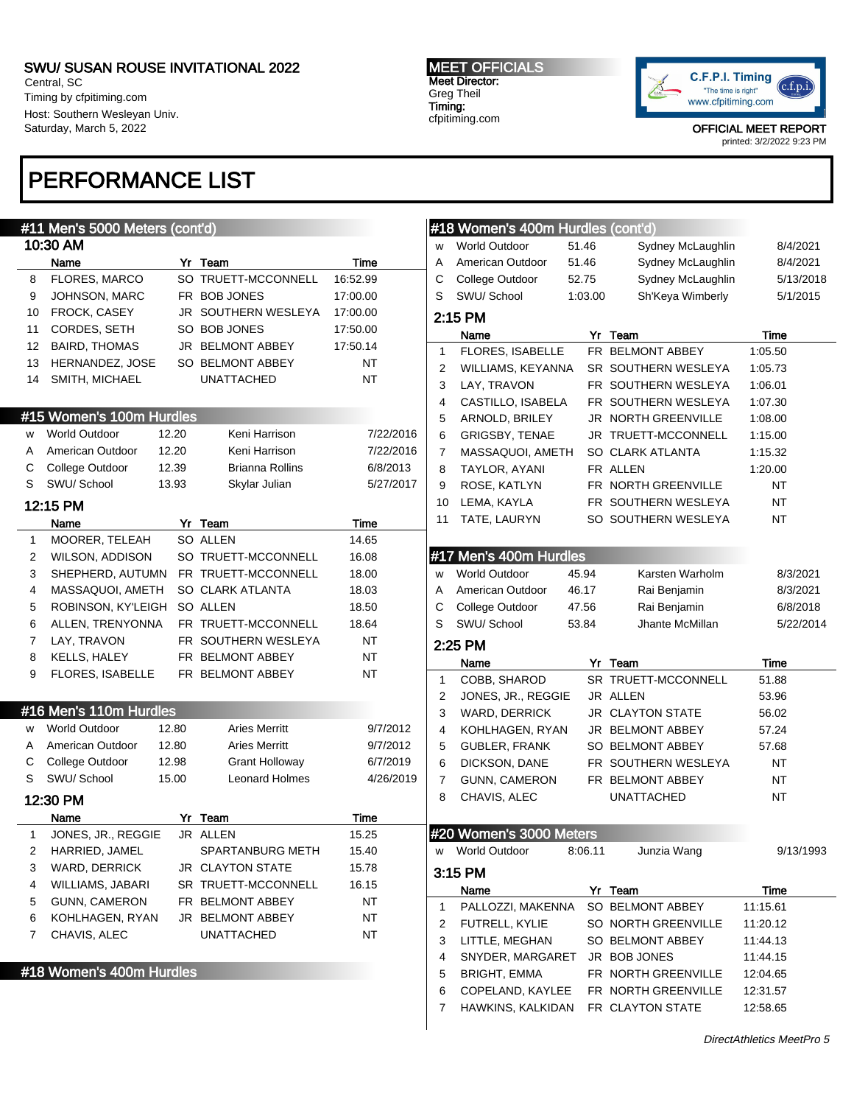Central, SC Timing by cfpitiming.com Host: Southern Wesleyan Univ. Saturday, March 5, 2022

## PERFORMANCE LIST

#### MEET OFFICIALS Meet Director: Greg Theil Timing: cfpitiming.com



OFFICIAL MEET REPORT

printed: 3/2/2022 9:23 PM

|    | #11 Men's 5000 Meters (cont'd) |       |                                      |             |              | #18 Women's 400m Hurdles (cont'd) |         |                             |                 |
|----|--------------------------------|-------|--------------------------------------|-------------|--------------|-----------------------------------|---------|-----------------------------|-----------------|
|    | 10:30 AM                       |       |                                      |             | W            | <b>World Outdoor</b>              | 51.46   | Sydney McLaughlin           | 8/4/2021        |
|    | Name                           |       | Yr Team                              | <b>Time</b> | Α            | American Outdoor                  | 51.46   | Sydney McLaughlin           | 8/4/2021        |
| 8  | FLORES, MARCO                  |       | SO TRUETT-MCCONNELL                  | 16:52.99    | С            | College Outdoor                   | 52.75   | Sydney McLaughlin           | 5/13/2018       |
| 9  | JOHNSON, MARC                  |       | FR BOB JONES                         | 17:00.00    | S            | SWU/ School                       | 1:03.00 | Sh'Keya Wimberly            | 5/1/2015        |
| 10 | FROCK, CASEY                   |       | JR SOUTHERN WESLEYA                  | 17:00.00    |              | 2:15 PM                           |         |                             |                 |
| 11 | CORDES, SETH                   |       | SO BOB JONES                         | 17:50.00    |              |                                   |         |                             |                 |
| 12 | <b>BAIRD, THOMAS</b>           |       | JR BELMONT ABBEY                     | 17:50.14    |              | Name                              |         | Yr Team<br>FR BELMONT ABBEY | Time<br>1:05.50 |
| 13 | HERNANDEZ, JOSE                |       | SO BELMONT ABBEY                     | <b>NT</b>   | 1            | FLORES, ISABELLE                  |         |                             | 1:05.73         |
| 14 | SMITH, MICHAEL                 |       | <b>UNATTACHED</b>                    | <b>NT</b>   | 2            | WILLIAMS, KEYANNA                 |         | SR SOUTHERN WESLEYA         |                 |
|    |                                |       |                                      |             | 3            | LAY, TRAVON                       |         | FR SOUTHERN WESLEYA         | 1:06.01         |
|    | #15 Women's 100m Hurdles       |       |                                      |             | 4            | CASTILLO, ISABELA                 |         | FR SOUTHERN WESLEYA         | 1:07.30         |
|    | <b>World Outdoor</b>           | 12.20 | Keni Harrison                        | 7/22/2016   | 5            | ARNOLD, BRILEY                    |         | JR NORTH GREENVILLE         | 1:08.00         |
| w  |                                | 12.20 |                                      |             | 6            | <b>GRIGSBY, TENAE</b>             |         | JR TRUETT-MCCONNELL         | 1:15.00         |
| A  | American Outdoor               |       | Keni Harrison                        | 7/22/2016   | 7            | MASSAQUOI, AMETH                  |         | SO CLARK ATLANTA            | 1:15.32         |
| С  | College Outdoor                | 12.39 | Brianna Rollins                      | 6/8/2013    | 8            | TAYLOR, AYANI                     |         | FR ALLEN                    | 1:20.00         |
| S  | SWU/ School                    | 13.93 | Skylar Julian                        | 5/27/2017   | 9            | ROSE, KATLYN                      |         | FR NORTH GREENVILLE         | <b>NT</b>       |
|    | 12:15 PM                       |       |                                      |             | 10           | LEMA, KAYLA                       |         | FR SOUTHERN WESLEYA         | <b>NT</b>       |
|    | Name                           |       | Yr Team                              | Time        | 11           | TATE, LAURYN                      |         | SO SOUTHERN WESLEYA         | <b>NT</b>       |
| 1  | MOORER, TELEAH                 |       | SO ALLEN                             | 14.65       |              |                                   |         |                             |                 |
| 2  | WILSON, ADDISON                |       | SO TRUETT-MCCONNELL                  | 16.08       |              | #17 Men's 400m Hurdles            |         |                             |                 |
| 3  |                                |       | SHEPHERD, AUTUMN FR TRUETT-MCCONNELL | 18.00       | W            | <b>World Outdoor</b>              | 45.94   | Karsten Warholm             | 8/3/2021        |
| 4  | MASSAQUOI, AMETH               |       | SO CLARK ATLANTA                     | 18.03       | Α            | American Outdoor                  | 46.17   | Rai Benjamin                | 8/3/2021        |
| 5  | ROBINSON, KY'LEIGH SO ALLEN    |       |                                      | 18.50       | С            | College Outdoor                   | 47.56   | Rai Benjamin                | 6/8/2018        |
| 6  | ALLEN, TRENYONNA               |       | FR TRUETT-MCCONNELL                  | 18.64       | S            | SWU/School                        | 53.84   | Jhante McMillan             | 5/22/2014       |
| 7  | LAY, TRAVON                    |       | FR SOUTHERN WESLEYA                  | <b>NT</b>   |              | 2:25 PM                           |         |                             |                 |
| 8  | <b>KELLS, HALEY</b>            |       | FR BELMONT ABBEY                     | <b>NT</b>   |              | Name                              |         | Yr Team                     | Time            |
| 9  | FLORES, ISABELLE               |       | FR BELMONT ABBEY                     | <b>NT</b>   | $\mathbf{1}$ | COBB, SHAROD                      |         | SR TRUETT-MCCONNELL         | 51.88           |
|    |                                |       |                                      |             | 2            | JONES, JR., REGGIE                |         | JR ALLEN                    | 53.96           |
|    | #16 Men's 110m Hurdles         |       |                                      |             | 3            | <b>WARD, DERRICK</b>              |         | JR CLAYTON STATE            | 56.02           |
| w  | <b>World Outdoor</b>           | 12.80 | <b>Aries Merritt</b>                 | 9/7/2012    |              |                                   |         |                             |                 |
| A  | American Outdoor               | 12.80 | <b>Aries Merritt</b>                 | 9/7/2012    | 4            | KOHLHAGEN, RYAN                   |         | JR BELMONT ABBEY            | 57.24           |
| С  | College Outdoor                | 12.98 | Grant Holloway                       | 6/7/2019    | 5            | <b>GUBLER, FRANK</b>              |         | SO BELMONT ABBEY            | 57.68           |
| S  | SWU/ School                    | 15.00 | <b>Leonard Holmes</b>                | 4/26/2019   | 6            | DICKSON, DANE                     |         | FR SOUTHERN WESLEYA         | <b>NT</b>       |
|    |                                |       |                                      |             | 7            | <b>GUNN, CAMERON</b>              |         | FR BELMONT ABBEY            | <b>NT</b>       |
|    | 12:30 PM                       |       |                                      |             | 8            | CHAVIS, ALEC                      |         | <b>UNATTACHED</b>           | <b>NT</b>       |
|    | Name                           |       | Yr Team                              | Time        |              |                                   |         |                             |                 |
| 1  | JONES, JR., REGGIE             |       | JR ALLEN                             | 15.25       |              | #20 Women's 3000 Meters           |         |                             |                 |
| 2  | HARRIED, JAMEL                 |       | <b>SPARTANBURG METH</b>              | 15.40       | W            | World Outdoor                     | 8:06.11 | Junzia Wang                 | 9/13/1993       |
| 3  | WARD, DERRICK                  |       | JR CLAYTON STATE                     | 15.78       |              | 3:15 PM                           |         |                             |                 |
| 4  | WILLIAMS, JABARI               |       | SR TRUETT-MCCONNELL                  | 16.15       |              | Name                              |         | Yr Team                     | Time            |
| 5  | <b>GUNN, CAMERON</b>           |       | FR BELMONT ABBEY                     | NT          | 1            | PALLOZZI, MAKENNA                 |         | SO BELMONT ABBEY            | 11:15.61        |
| 6  | KOHLHAGEN, RYAN                |       | JR BELMONT ABBEY                     | <b>NT</b>   | 2            | FUTRELL, KYLIE                    |         | SO NORTH GREENVILLE         | 11:20.12        |
| 7  | CHAVIS, ALEC                   |       | <b>UNATTACHED</b>                    | <b>NT</b>   | 3            | LITTLE, MEGHAN                    |         | SO BELMONT ABBEY            | 11:44.13        |
|    |                                |       |                                      |             | 4            | SNYDER, MARGARET                  |         | JR BOB JONES                | 11:44.15        |
|    | #18 Women's 400m Hurdles       |       |                                      |             | 5            | <b>BRIGHT, EMMA</b>               |         | FR NORTH GREENVILLE         | 12:04.65        |
|    |                                |       |                                      |             | 6            | COPELAND, KAYLEE                  |         | FR NORTH GREENVILLE         | 12:31.57        |
|    |                                |       |                                      |             | 7            | HAWKINS, KALKIDAN                 |         | FR CLAYTON STATE            | 12:58.65        |
|    |                                |       |                                      |             |              |                                   |         |                             |                 |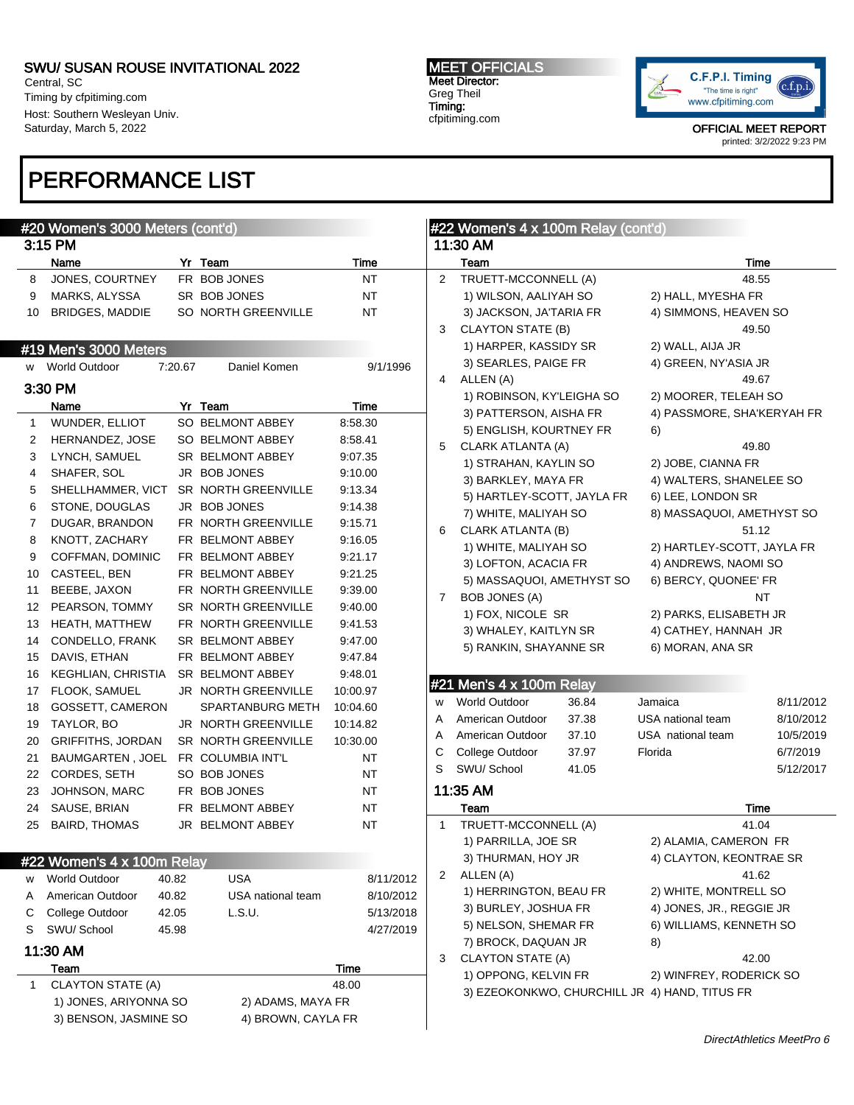Central, SC Timing by cfpitiming.com Host: Southern Wesleyan Univ. Saturday, March 5, 2022

## PERFORMANCE LIST

#### #20 Women's 3000 Meters (cont'd) 3:15 PM Name **Yr** Team **Time** 8 JONES, COURTNEY FR BOB JONES NT 9 MARKS, ALYSSA SR BOB JONES NT 10 BRIDGES, MADDIE SO NORTH GREENVILLE NT #19 Men's 3000 Meters World Outdoor 7:20.67 Daniel Komen 9/1/1996 3:30 PM Name Yr Team Time 1 WUNDER, ELLIOT SO BELMONT ABBEY 8:58.30 2 HERNANDEZ, JOSE SO BELMONT ABBEY 8:58.41 3 LYNCH, SAMUEL SR BELMONT ABBEY 9:07.35 4 SHAFER, SOL JR BOB JONES 9:10.00 5 SHELLHAMMER, VICT SR NORTH GREENVILLE 9:13.34 6 STONE, DOUGLAS JR BOB JONES 9:14.38 7 DUGAR, BRANDON FR NORTH GREENVILLE 9:15.71 8 KNOTT, ZACHARY FR BELMONT ABBEY 9:16.05 9 COFFMAN, DOMINIC FR BELMONT ABBEY 9:21.17 10 CASTEEL, BEN FR BELMONT ABBEY 9:21.25 11 BEEBE, JAXON FR NORTH GREENVILLE 9:39.00 12 PEARSON, TOMMY SR NORTH GREENVILLE 9:40.00 13 HEATH, MATTHEW FR NORTH GREENVILLE 9:41.53 14 CONDELLO, FRANK SR BELMONT ABBEY 9:47.00 15 DAVIS, ETHAN FR BELMONT ABBEY 9:47.84 16 KEGHLIAN, CHRISTIA SR BELMONT ABBEY 9:48.01 17 FLOOK, SAMUEL JR NORTH GREENVILLE 10:00.97 18 GOSSETT, CAMERON SPARTANBURG METH 10:04.60 19 TAYLOR, BO JR NORTH GREENVILLE 10:14.82 20 GRIFFITHS, JORDAN SR NORTH GREENVILLE 10:30.00 21 BAUMGARTEN, JOEL FR COLUMBIA INT'L NT 22 CORDES, SETH SO BOB JONES NT 23 JOHNSON, MARC FR BOB JONES NT 24 SAUSE, BRIAN FR BELMONT ABBEY NT 25 BAIRD, THOMAS JR BELMONT ABBEY NT #22 Women's 4 x 100m Relay w World Outdoor 40.82 USA 8/11/2012 A American Outdoor 40.82 USA national team 8/10/2012 C College Outdoor 42.05 L.S.U. 5/13/2018 S SWU/ School 45.98 4/27/2019 11:30 AM Team Time 1 CLAYTON STATE (A) 48.00 1) JONES, ARIYONNA SO 2) ADAMS, MAYA FR 3) BENSON, JASMINE SO 4) BROWN, CAYLA FR #22 Women's 4 x 100m Relay (cont'd) 11:30 AM Team Time 2 TRUETT-MCCONNELL (A) 48.55 1) WILSON, AALIYAH SO 2) HALL, MYESHA FR 3) JACKSON, JA'TARIA FR 4) SIMMONS, HEAVEN SO 3 CLAYTON STATE (B) 49.50 1) HARPER, KASSIDY SR 2) WALL, AIJA JR 3) SEARLES, PAIGE FR 4) GREEN, NY'ASIA JR 4 ALLEN (A) 49.67 1) ROBINSON, KY'LEIGHA SO 2) MOORER, TELEAH SO 3) PATTERSON, AISHA FR 4) PASSMORE, SHA'KERYAH FR 5) ENGLISH, KOURTNEY FR 6) 5 CLARK ATLANTA (A) 49.80 1) STRAHAN, KAYLIN SO 2) JOBE, CIANNA FR 3) BARKLEY, MAYA FR 4) WALTERS, SHANELEE SO 5) HARTLEY-SCOTT, JAYLA FR 6) LEE, LONDON SR 7) WHITE, MALIYAH SO 8) MASSAQUOI, AMETHYST SO 6 CLARK ATLANTA (B) 51.12 1) WHITE, MALIYAH SO 2) HARTLEY-SCOTT, JAYLA FR 3) LOFTON, ACACIA FR
4) ANDREWS, NAOMI SO 5) MASSAQUOI, AMETHYST SO 6) BERCY, QUONEE' FR 7 BOB JONES (A) NT 1) FOX, NICOLE SR 2) PARKS, ELISABETH JR 3) WHALEY, KAITLYN SR 4) CATHEY, HANNAH JR 5) RANKIN, SHAYANNE SR 6) MORAN, ANA SR #21 Men's 4 x 100m Relay w World Outdoor 36.84 Jamaica 8/11/2012 A American Outdoor 37.38 USA national team 8/10/2012 A American Outdoor 37.10 USA national team 10/5/2019 C College Outdoor 37.97 Florida 6/7/2019 S SWU/ School 41.05 5/12/2017 11:35 AM Team Time 1 TRUETT-MCCONNELL (A) 41.04 1) PARRILLA, JOE SR 2) ALAMIA, CAMERON FR 3) THURMAN, HOY JR 4) CLAYTON, KEONTRAE SR 2 ALLEN (A) 41.62 1) HERRINGTON, BEAU FR 2) WHITE, MONTRELL SO 3) BURLEY, JOSHUA FR 4) JONES, JR., REGGIE JR 5) NELSON, SHEMAR FR 6) WILLIAMS, KENNETH SO 7) BROCK, DAQUAN JR 8) 3 CLAYTON STATE (A) 42.00 1) OPPONG, KELVIN FR 2) WINFREY, RODERICK SO 3) EZEOKONKWO, CHURCHILL JR 4) HAND, TITUS FR

MEET OFFICIALS Meet Director: Greg Theil Timing: cfpitiming.com



OFFICIAL MEET REPORT printed: 3/2/2022 9:23 PM

DirectAthletics MeetPro 6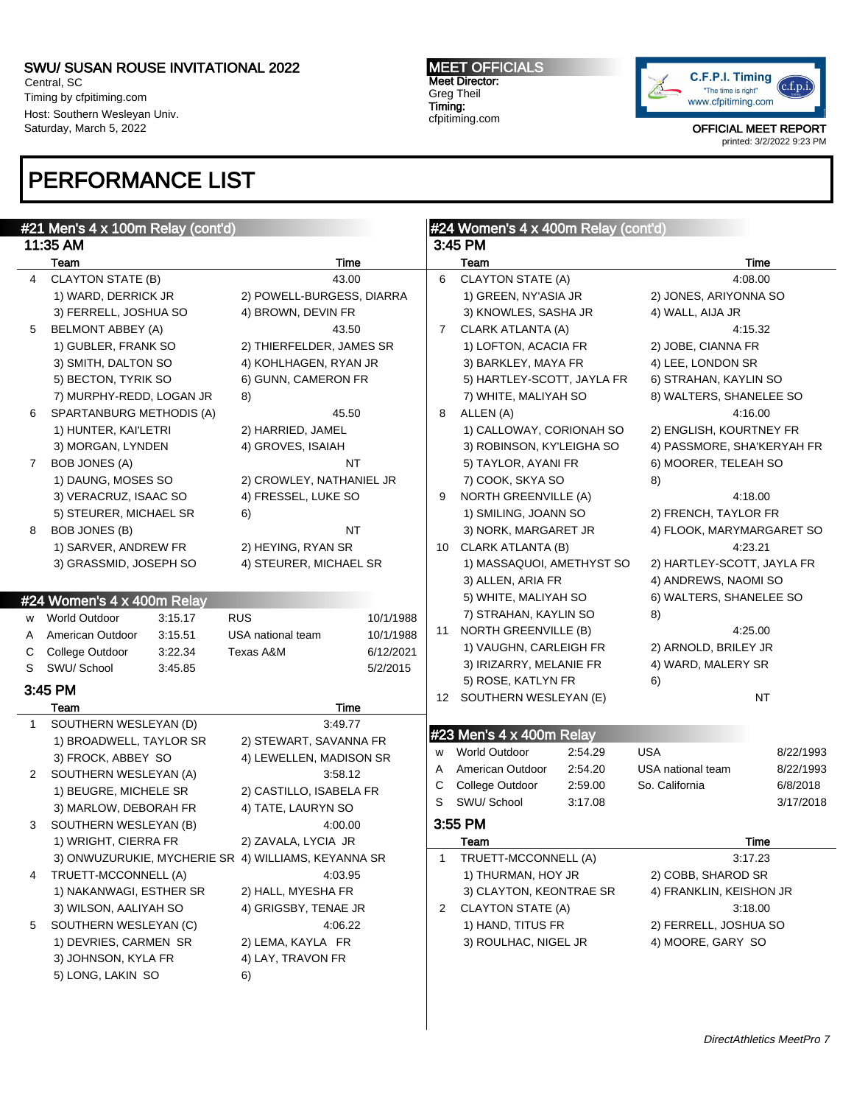Central, SC Timing by cfpitiming.com Host: Southern Wesleyan Univ. Saturday, March 5, 2022

## PERFORMANCE LIST

MEET OFFICIALS Meet Director: Greg Theil Timing: cfpitiming.com



|              | #21 Men's 4 x 100m Relay (cont'd)                   |                           |           |    | #24 Women's 4 x 400m Relay (cont'd) |         |                            |           |
|--------------|-----------------------------------------------------|---------------------------|-----------|----|-------------------------------------|---------|----------------------------|-----------|
|              | 11:35 AM                                            |                           |           |    | 3:45 PM                             |         |                            |           |
|              | Team                                                | Time                      |           |    | Team                                |         |                            | Time      |
| 4            | <b>CLAYTON STATE (B)</b>                            | 43.00                     |           | 6  | <b>CLAYTON STATE (A)</b>            |         |                            | 4:08.00   |
|              | 1) WARD, DERRICK JR                                 | 2) POWELL-BURGESS, DIARRA |           |    | 1) GREEN, NY'ASIA JR                |         | 2) JONES, ARIYONNA SO      |           |
|              | 3) FERRELL, JOSHUA SO                               | 4) BROWN, DEVIN FR        |           |    | 3) KNOWLES, SASHA JR                |         | 4) WALL, AIJA JR           |           |
| 5            | <b>BELMONT ABBEY (A)</b>                            | 43.50                     |           | 7  | CLARK ATLANTA (A)                   |         |                            | 4:15.32   |
|              | 1) GUBLER, FRANK SO                                 | 2) THIERFELDER, JAMES SR  |           |    | 1) LOFTON, ACACIA FR                |         | 2) JOBE, CIANNA FR         |           |
|              | 3) SMITH, DALTON SO                                 | 4) KOHLHAGEN, RYAN JR     |           |    | 3) BARKLEY, MAYA FR                 |         | 4) LEE, LONDON SR          |           |
|              | 5) BECTON, TYRIK SO                                 | 6) GUNN, CAMERON FR       |           |    | 5) HARTLEY-SCOTT, JAYLA FR          |         | 6) STRAHAN, KAYLIN SO      |           |
|              | 7) MURPHY-REDD, LOGAN JR                            | 8)                        |           |    | 7) WHITE, MALIYAH SO                |         | 8) WALTERS, SHANELEE SO    |           |
| 6            | SPARTANBURG METHODIS (A)                            | 45.50                     |           | 8  | ALLEN (A)                           |         |                            | 4:16.00   |
|              | 1) HUNTER, KAI'LETRI                                | 2) HARRIED, JAMEL         |           |    | 1) CALLOWAY, CORIONAH SO            |         | 2) ENGLISH, KOURTNEY FR    |           |
|              | 3) MORGAN, LYNDEN                                   | 4) GROVES, ISAIAH         |           |    | 3) ROBINSON, KY'LEIGHA SO           |         | 4) PASSMORE, SHA'KERYAH FR |           |
| 7            | <b>BOB JONES (A)</b>                                | NT                        |           |    | 5) TAYLOR, AYANI FR                 |         | 6) MOORER, TELEAH SO       |           |
|              | 1) DAUNG, MOSES SO                                  | 2) CROWLEY, NATHANIEL JR  |           |    | 7) COOK, SKYA SO                    |         | 8)                         |           |
|              | 3) VERACRUZ, ISAAC SO                               | 4) FRESSEL, LUKE SO       |           | 9  | NORTH GREENVILLE (A)                |         |                            | 4:18.00   |
|              | 5) STEURER, MICHAEL SR                              | 6)                        |           |    | 1) SMILING, JOANN SO                |         | 2) FRENCH, TAYLOR FR       |           |
| 8            | BOB JONES (B)                                       | <b>NT</b>                 |           |    | 3) NORK, MARGARET JR                |         | 4) FLOOK, MARYMARGARET SO  |           |
|              | 1) SARVER, ANDREW FR                                | 2) HEYING, RYAN SR        |           |    | 10 CLARK ATLANTA (B)                |         |                            | 4:23.21   |
|              | 3) GRASSMID, JOSEPH SO                              | 4) STEURER, MICHAEL SR    |           |    | 1) MASSAQUOI, AMETHYST SO           |         | 2) HARTLEY-SCOTT, JAYLA FR |           |
|              |                                                     |                           |           |    | 3) ALLEN, ARIA FR                   |         | 4) ANDREWS, NAOMI SO       |           |
|              | #24 Women's 4 x 400m Relay                          |                           |           |    | 5) WHITE, MALIYAH SO                |         | 6) WALTERS, SHANELEE SO    |           |
| w            | <b>World Outdoor</b><br>3:15.17                     | <b>RUS</b>                | 10/1/1988 |    | 7) STRAHAN, KAYLIN SO               |         | 8)                         |           |
| A            | 3:15.51<br>American Outdoor                         | USA national team         | 10/1/1988 | 11 | NORTH GREENVILLE (B)                |         |                            | 4:25.00   |
| С            | 3:22.34<br>College Outdoor                          | Texas A&M                 | 6/12/2021 |    | 1) VAUGHN, CARLEIGH FR              |         | 2) ARNOLD, BRILEY JR       |           |
| S            | SWU/ School<br>3:45.85                              |                           | 5/2/2015  |    | 3) IRIZARRY, MELANIE FR             |         | 4) WARD, MALERY SR         |           |
|              | 3:45 PM                                             |                           |           |    | 5) ROSE, KATLYN FR                  |         | 6)                         |           |
|              | Team                                                | Time                      |           |    | 12 SOUTHERN WESLEYAN (E)            |         |                            | <b>NT</b> |
| $\mathbf{1}$ | SOUTHERN WESLEYAN (D)                               | 3:49.77                   |           |    |                                     |         |                            |           |
|              | 1) BROADWELL, TAYLOR SR                             | 2) STEWART, SAVANNA FR    |           |    | #23 Men's 4 x 400m Relay            |         |                            |           |
|              | 3) FROCK, ABBEY SO                                  | 4) LEWELLEN, MADISON SR   |           | w  | <b>World Outdoor</b>                | 2:54.29 | <b>USA</b>                 | 8/22/1993 |
| $^{2}$       | SOUTHERN WESLEYAN (A)                               | 3:58.12                   |           | A  | American Outdoor                    | 2:54.20 | USA national team          | 8/22/1993 |
|              | 1) BEUGRE, MICHELE SR                               | 2) CASTILLO, ISABELA FR   |           | С  | College Outdoor                     | 2:59.00 | So. California             | 6/8/2018  |
|              | 3) MARLOW, DEBORAH FR                               | 4) TATE, LAURYN SO        |           | S  | SWU/ School                         | 3:17.08 |                            | 3/17/2018 |
| 3            | SOUTHERN WESLEYAN (B)                               | 4:00.00                   |           |    | 3:55 PM                             |         |                            |           |
|              | 1) WRIGHT, CIERRA FR                                | 2) ZAVALA, LYCIA JR       |           |    | Team                                |         |                            | Time      |
|              | 3) ONWUZURUKIE, MYCHERIE SR 4) WILLIAMS, KEYANNA SR |                           |           | 1  | TRUETT-MCCONNELL (A)                |         |                            | 3:17.23   |
| 4            | TRUETT-MCCONNELL (A)                                | 4:03.95                   |           |    | 1) THURMAN, HOY JR                  |         | 2) COBB, SHAROD SR         |           |
|              | 1) NAKANWAGI, ESTHER SR                             | 2) HALL, MYESHA FR        |           |    | 3) CLAYTON, KEONTRAE SR             |         | 4) FRANKLIN, KEISHON JR    |           |
|              | 3) WILSON, AALIYAH SO                               | 4) GRIGSBY, TENAE JR      |           | 2  | CLAYTON STATE (A)                   |         |                            | 3:18.00   |
| 5            | SOUTHERN WESLEYAN (C)                               | 4:06.22                   |           |    | 1) HAND, TITUS FR                   |         | 2) FERRELL, JOSHUA SO      |           |
|              | 1) DEVRIES, CARMEN SR                               | 2) LEMA, KAYLA FR         |           |    | 3) ROULHAC, NIGEL JR                |         | 4) MOORE, GARY SO          |           |
|              | 3) JOHNSON, KYLA FR                                 | 4) LAY, TRAVON FR         |           |    |                                     |         |                            |           |
|              | 5) LONG, LAKIN SO                                   | 6)                        |           |    |                                     |         |                            |           |
|              |                                                     |                           |           |    |                                     |         |                            |           |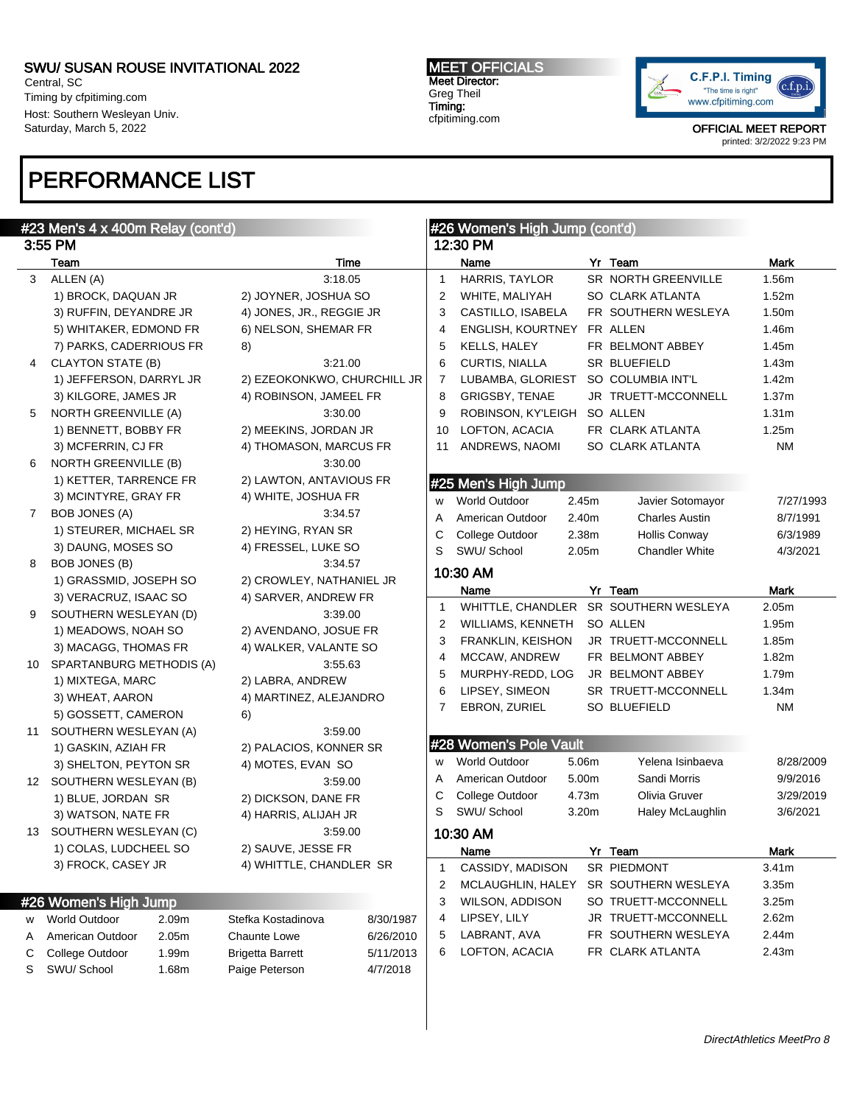Central, SC Timing by cfpitiming.com Host: Southern Wesleyan Univ. Saturday, March 5, 2022

## PERFORMANCE LIST

#### MEET OFFICIALS Meet Director: Greg Theil Timing: cfpitiming.com



|    | #23 Men's 4 x 400m Relay (cont'd) |       |                             |           |              | #26 Women's High Jump (cont'd) |       |                                       |                   |
|----|-----------------------------------|-------|-----------------------------|-----------|--------------|--------------------------------|-------|---------------------------------------|-------------------|
|    | 3:55 PM                           |       |                             |           |              | 12:30 PM                       |       |                                       |                   |
|    | Team                              |       | <b>Time</b>                 |           |              | Name                           |       | Yr Team                               | <b>Mark</b>       |
| 3  | ALLEN (A)                         |       | 3:18.05                     |           | $\mathbf{1}$ | HARRIS, TAYLOR                 |       | SR NORTH GREENVILLE                   | 1.56m             |
|    | 1) BROCK, DAQUAN JR               |       | 2) JOYNER, JOSHUA SO        |           | 2            | WHITE, MALIYAH                 |       | SO CLARK ATLANTA                      | 1.52m             |
|    | 3) RUFFIN, DEYANDRE JR            |       | 4) JONES, JR., REGGIE JR    |           | 3            | CASTILLO, ISABELA              |       | FR SOUTHERN WESLEYA                   | 1.50m             |
|    | 5) WHITAKER, EDMOND FR            |       | 6) NELSON, SHEMAR FR        |           | 4            | <b>ENGLISH, KOURTNEY</b>       |       | FR ALLEN                              | 1.46m             |
|    | 7) PARKS, CADERRIOUS FR           |       | 8)                          |           | 5            | KELLS, HALEY                   |       | FR BELMONT ABBEY                      | 1.45m             |
| 4  | <b>CLAYTON STATE (B)</b>          |       | 3:21.00                     |           | 6            | <b>CURTIS, NIALLA</b>          |       | SR BLUEFIELD                          | 1.43m             |
|    | 1) JEFFERSON, DARRYL JR           |       | 2) EZEOKONKWO, CHURCHILL JR |           | 7            | LUBAMBA, GLORIEST              |       | SO COLUMBIA INT'L                     | 1.42m             |
|    | 3) KILGORE, JAMES JR              |       | 4) ROBINSON, JAMEEL FR      |           | 8            | <b>GRIGSBY, TENAE</b>          |       | JR TRUETT-MCCONNELL                   | 1.37m             |
| 5  | <b>NORTH GREENVILLE (A)</b>       |       | 3:30.00                     |           | 9            | ROBINSON, KY'LEIGH             |       | SO ALLEN                              | 1.31 <sub>m</sub> |
|    | 1) BENNETT, BOBBY FR              |       | 2) MEEKINS, JORDAN JR       |           | 10           | LOFTON, ACACIA                 |       | FR CLARK ATLANTA                      | 1.25m             |
|    | 3) MCFERRIN, CJ FR                |       | 4) THOMASON, MARCUS FR      |           | 11           | ANDREWS, NAOMI                 |       | SO CLARK ATLANTA                      | <b>NM</b>         |
| 6  | NORTH GREENVILLE (B)              |       | 3:30.00                     |           |              |                                |       |                                       |                   |
|    | 1) KETTER, TARRENCE FR            |       | 2) LAWTON, ANTAVIOUS FR     |           |              | #25 Men's High Jump            |       |                                       |                   |
|    | 3) MCINTYRE, GRAY FR              |       | 4) WHITE, JOSHUA FR         |           | W            | <b>World Outdoor</b>           | 2.45m | Javier Sotomayor                      | 7/27/1993         |
| 7  | <b>BOB JONES (A)</b>              |       | 3:34.57                     |           | Α            | American Outdoor               | 2.40m | <b>Charles Austin</b>                 | 8/7/1991          |
|    | 1) STEURER, MICHAEL SR            |       | 2) HEYING, RYAN SR          |           | С            | College Outdoor                | 2.38m | <b>Hollis Conway</b>                  | 6/3/1989          |
|    | 3) DAUNG, MOSES SO                |       | 4) FRESSEL, LUKE SO         |           | S            | SWU/ School                    | 2.05m | <b>Chandler White</b>                 | 4/3/2021          |
| 8  | <b>BOB JONES (B)</b>              |       | 3:34.57                     |           |              |                                |       |                                       |                   |
|    | 1) GRASSMID, JOSEPH SO            |       | 2) CROWLEY, NATHANIEL JR    |           |              | 10:30 AM                       |       |                                       |                   |
|    | 3) VERACRUZ, ISAAC SO             |       | 4) SARVER, ANDREW FR        |           |              | Name                           |       | Yr Team                               | <b>Mark</b>       |
| 9  | SOUTHERN WESLEYAN (D)             |       | 3:39.00                     |           | $\mathbf{1}$ |                                |       | WHITTLE, CHANDLER SR SOUTHERN WESLEYA | 2.05m             |
|    | 1) MEADOWS, NOAH SO               |       | 2) AVENDANO, JOSUE FR       |           | 2            | WILLIAMS, KENNETH              |       | SO ALLEN                              | 1.95m             |
|    | 3) MACAGG, THOMAS FR              |       | 4) WALKER, VALANTE SO       |           | 3            | FRANKLIN, KEISHON              |       | JR TRUETT-MCCONNELL                   | 1.85m             |
| 10 | SPARTANBURG METHODIS (A)          |       | 3:55.63                     |           | 4            | MCCAW, ANDREW                  |       | FR BELMONT ABBEY                      | 1.82m             |
|    | 1) MIXTEGA, MARC                  |       | 2) LABRA, ANDREW            |           | 5            | MURPHY-REDD, LOG               |       | JR BELMONT ABBEY                      | 1.79m             |
|    | 3) WHEAT, AARON                   |       | 4) MARTINEZ, ALEJANDRO      |           | 6            | LIPSEY, SIMEON                 |       | SR TRUETT-MCCONNELL                   | 1.34m             |
|    | 5) GOSSETT, CAMERON               |       | 6)                          |           | 7            | EBRON, ZURIEL                  |       | SO BLUEFIELD                          | <b>NM</b>         |
| 11 | SOUTHERN WESLEYAN (A)             |       | 3:59.00                     |           |              |                                |       |                                       |                   |
|    | 1) GASKIN, AZIAH FR               |       | 2) PALACIOS, KONNER SR      |           |              | #28 Women's Pole Vault         |       |                                       |                   |
|    | 3) SHELTON, PEYTON SR             |       | 4) MOTES, EVAN SO           |           | w            | <b>World Outdoor</b>           | 5.06m | Yelena Isinbaeva                      | 8/28/2009         |
|    | 12 SOUTHERN WESLEYAN (B)          |       | 3:59.00                     |           | A            | American Outdoor               | 5.00m | Sandi Morris                          | 9/9/2016          |
|    | 1) BLUE, JORDAN SR                |       | 2) DICKSON, DANE FR         |           | С            | College Outdoor                | 4.73m | Olivia Gruver                         | 3/29/2019         |
|    | 3) WATSON, NATE FR                |       | 4) HARRIS, ALIJAH JR        |           | S            | SWU/ School                    | 3.20m | Haley McLaughlin                      | 3/6/2021          |
|    | 13 SOUTHERN WESLEYAN (C)          |       | 3:59.00                     |           |              | 10:30 AM                       |       |                                       |                   |
|    | 1) COLAS, LUDCHEEL SO             |       | 2) SAUVE, JESSE FR          |           |              | Name                           |       | Yr Team                               | Mark              |
|    | 3) FROCK, CASEY JR                |       | 4) WHITTLE, CHANDLER SR     |           | 1            | CASSIDY, MADISON               |       | SR PIEDMONT                           | 3.41m             |
|    |                                   |       |                             |           | 2            | MCLAUGHLIN, HALEY              |       | SR SOUTHERN WESLEYA                   | 3.35m             |
|    | #26 Women's High Jump             |       |                             |           | 3            | WILSON, ADDISON                |       | SO TRUETT-MCCONNELL                   | 3.25m             |
| w  | <b>World Outdoor</b>              | 2.09m | Stefka Kostadinova          | 8/30/1987 | 4            | LIPSEY, LILY                   |       | JR TRUETT-MCCONNELL                   | 2.62m             |
| A  | American Outdoor                  | 2.05m | <b>Chaunte Lowe</b>         | 6/26/2010 | 5            | LABRANT, AVA                   |       | FR SOUTHERN WESLEYA                   | 2.44m             |
| С  | College Outdoor                   | 1.99m | <b>Brigetta Barrett</b>     | 5/11/2013 | 6            | LOFTON, ACACIA                 |       | FR CLARK ATLANTA                      | 2.43m             |
| S  | SWU/ School                       | 1.68m | Paige Peterson              | 4/7/2018  |              |                                |       |                                       |                   |
|    |                                   |       |                             |           |              |                                |       |                                       |                   |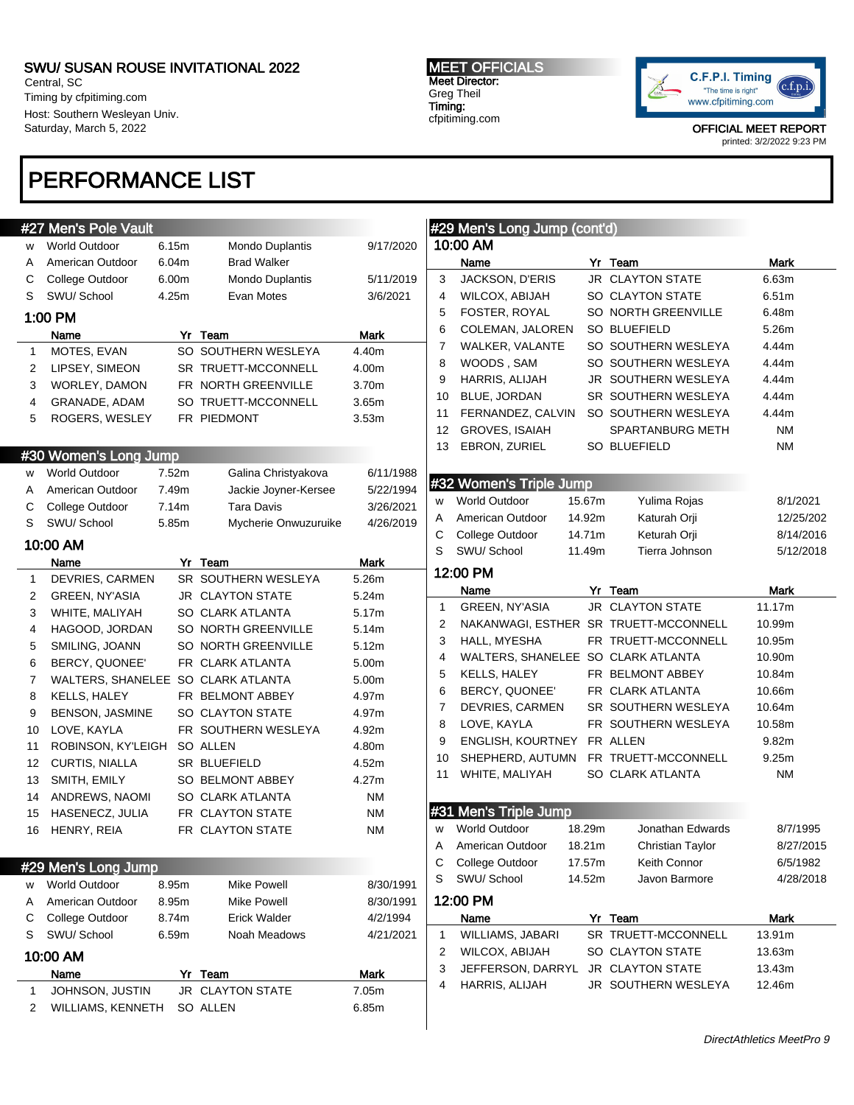Central, SC Timing by cfpitiming.com Host: Southern Wesleyan Univ. Saturday, March 5, 2022

## PERFORMANCE LIST

#### MEET OFFICIALS Meet Director: Greg Theil Timing: cfpitiming.com



|              | #27 Men's Pole Vault               |       |                      |             |                     | #29 Men's Long Jump (cont'd)                       |        |                                       |                       |
|--------------|------------------------------------|-------|----------------------|-------------|---------------------|----------------------------------------------------|--------|---------------------------------------|-----------------------|
| W            | <b>World Outdoor</b>               | 6.15m | Mondo Duplantis      | 9/17/2020   |                     | 10:00 AM                                           |        |                                       |                       |
| Α            | American Outdoor                   | 6.04m | <b>Brad Walker</b>   |             |                     | Name                                               |        | Yr Team                               | <b>Mark</b>           |
| С            | College Outdoor                    | 6.00m | Mondo Duplantis      | 5/11/2019   | 3                   | JACKSON, D'ERIS                                    |        | <b>JR CLAYTON STATE</b>               | 6.63m                 |
| S            | SWU/ School                        | 4.25m | Evan Motes           | 3/6/2021    | 4                   | WILCOX, ABIJAH                                     |        | SO CLAYTON STATE                      | 6.51m                 |
|              | 1:00 PM                            |       |                      |             | 5                   | FOSTER, ROYAL                                      |        | SO NORTH GREENVILLE                   | 6.48m                 |
|              | Name                               |       | Yr Team              | Mark        | 6                   | COLEMAN, JALOREN                                   |        | <b>SO BLUEFIELD</b>                   | 5.26m                 |
| $\mathbf{1}$ | MOTES, EVAN                        |       | SO SOUTHERN WESLEYA  | 4.40m       | $\overline{7}$      | WALKER, VALANTE                                    |        | SO SOUTHERN WESLEYA                   | 4.44m                 |
| 2            | LIPSEY, SIMEON                     |       | SR TRUETT-MCCONNELL  | 4.00m       | 8                   | WOODS, SAM                                         |        | SO SOUTHERN WESLEYA                   | 4.44m                 |
| 3            | WORLEY, DAMON                      |       | FR NORTH GREENVILLE  | 3.70m       | 9                   | HARRIS, ALIJAH                                     |        | JR SOUTHERN WESLEYA                   | 4.44m                 |
| 4            | GRANADE, ADAM                      |       | SO TRUETT-MCCONNELL  | 3.65m       | 10                  | BLUE, JORDAN                                       |        | SR SOUTHERN WESLEYA                   | 4.44m                 |
| 5            | ROGERS, WESLEY                     |       | FR PIEDMONT          | 3.53m       | 11                  | FERNANDEZ, CALVIN                                  |        | SO SOUTHERN WESLEYA                   | 4.44m                 |
|              |                                    |       |                      |             | 12                  | <b>GROVES, ISAIAH</b>                              |        | SPARTANBURG METH                      | <b>NM</b>             |
|              |                                    |       |                      |             | 13                  | EBRON, ZURIEL                                      |        | <b>SO BLUEFIELD</b>                   | <b>NM</b>             |
|              | #30 Women's Long Jump              |       |                      |             |                     |                                                    |        |                                       |                       |
| W            | <b>World Outdoor</b>               | 7.52m | Galina Christyakova  | 6/11/1988   |                     | #32 Women's Triple Jump                            |        |                                       |                       |
| A            | American Outdoor                   | 7.49m | Jackie Joyner-Kersee | 5/22/1994   | w                   | <b>World Outdoor</b>                               | 15.67m | Yulima Rojas                          | 8/1/2021              |
| С            | College Outdoor                    | 7.14m | <b>Tara Davis</b>    | 3/26/2021   | A                   | American Outdoor                                   | 14.92m | Katurah Orji                          | 12/25/202             |
| S            | SWU/School                         | 5.85m | Mycherie Onwuzuruike | 4/26/2019   | С                   | College Outdoor                                    | 14.71m | Keturah Orji                          | 8/14/2016             |
|              | 10:00 AM                           |       |                      |             | S                   | SWU/ School                                        | 11.49m | Tierra Johnson                        | 5/12/2018             |
|              | Name                               |       | Yr Team              | <b>Mark</b> |                     | 12:00 PM                                           |        |                                       |                       |
| $\mathbf{1}$ | DEVRIES, CARMEN                    |       | SR SOUTHERN WESLEYA  | 5.26m       |                     |                                                    |        |                                       |                       |
| 2            | GREEN, NY'ASIA                     |       | JR CLAYTON STATE     | 5.24m       |                     | Name                                               |        | Yr Team<br><b>JR CLAYTON STATE</b>    | <b>Mark</b><br>11.17m |
| 3            | WHITE, MALIYAH                     |       | SO CLARK ATLANTA     | 5.17m       | $\mathbf{1}$        | GREEN, NY'ASIA                                     |        |                                       |                       |
| 4            | HAGOOD, JORDAN                     |       | SO NORTH GREENVILLE  | 5.14m       | 2                   |                                                    |        | NAKANWAGI, ESTHER SR TRUETT-MCCONNELL | 10.99m                |
| 5            | SMILING, JOANN                     |       | SO NORTH GREENVILLE  | 5.12m       | 3<br>$\overline{4}$ | HALL, MYESHA                                       |        | FR TRUETT-MCCONNELL                   | 10.95m                |
| 6            | BERCY, QUONEE'                     |       | FR CLARK ATLANTA     | 5.00m       | 5                   | WALTERS, SHANELEE SO CLARK ATLANTA<br>KELLS, HALEY |        | FR BELMONT ABBEY                      | 10.90m<br>10.84m      |
| 7            | WALTERS, SHANELEE SO CLARK ATLANTA |       |                      | 5.00m       | 6                   | BERCY, QUONEE'                                     |        | FR CLARK ATLANTA                      | 10.66m                |
| 8            | <b>KELLS, HALEY</b>                |       | FR BELMONT ABBEY     | 4.97m       | $\overline{7}$      | DEVRIES, CARMEN                                    |        | SR SOUTHERN WESLEYA                   | 10.64m                |
| 9            | <b>BENSON, JASMINE</b>             |       | SO CLAYTON STATE     | 4.97m       | 8                   | LOVE, KAYLA                                        |        | FR SOUTHERN WESLEYA                   | 10.58m                |
| 10           | LOVE, KAYLA                        |       | FR SOUTHERN WESLEYA  | 4.92m       | 9                   | ENGLISH, KOURTNEY                                  |        | FR ALLEN                              | 9.82m                 |
| 11           | ROBINSON, KY'LEIGH                 |       | SO ALLEN             | 4.80m       | 10                  | SHEPHERD, AUTUMN                                   |        | FR TRUETT-MCCONNELL                   | 9.25m                 |
| 12           | CURTIS, NIALLA                     |       | SR BLUEFIELD         | 4.52m       | 11                  | WHITE, MALIYAH                                     |        | SO CLARK ATLANTA                      | <b>NM</b>             |
| 13           | SMITH, EMILY                       |       | SO BELMONT ABBEY     | 4.27m       |                     |                                                    |        |                                       |                       |
| 14           | ANDREWS, NAOMI                     |       | SO CLARK ATLANTA     | <b>NM</b>   |                     |                                                    |        |                                       |                       |
| 15           | HASENECZ, JULIA                    |       | FR CLAYTON STATE     | <b>NM</b>   |                     | #31 Men's Triple Jump                              |        |                                       |                       |
| 16           | HENRY, REIA                        |       | FR CLAYTON STATE     | <b>NM</b>   | w                   | <b>World Outdoor</b>                               | 18.29m | Jonathan Edwards                      | 8/7/1995              |
|              |                                    |       |                      |             | A                   | American Outdoor                                   | 18.21m | Christian Taylor                      | 8/27/2015             |
|              | #29 Men's Long Jump                |       |                      |             | С                   | College Outdoor                                    | 17.57m | Keith Connor                          | 6/5/1982              |
| W            | <b>World Outdoor</b>               | 8.95m | Mike Powell          | 8/30/1991   | S                   | SWU/School                                         | 14.52m | Javon Barmore                         | 4/28/2018             |
| A            | American Outdoor                   | 8.95m | Mike Powell          | 8/30/1991   |                     | 12:00 PM                                           |        |                                       |                       |
| С            | College Outdoor                    | 8.74m | <b>Erick Walder</b>  | 4/2/1994    |                     | Name                                               |        | Yr Team                               | Mark                  |
| S            | SWU/ School                        | 6.59m | Noah Meadows         | 4/21/2021   | 1                   | <b>WILLIAMS, JABARI</b>                            |        | SR TRUETT-MCCONNELL                   | 13.91m                |
|              | 10:00 AM                           |       |                      |             | 2                   | WILCOX, ABIJAH                                     |        | SO CLAYTON STATE                      | 13.63m                |
|              | Name                               |       | Yr Team              | Mark        | 3                   | JEFFERSON, DARRYL                                  |        | JR CLAYTON STATE                      | 13.43m                |
| 1            | JOHNSON, JUSTIN                    |       | JR CLAYTON STATE     | 7.05m       | 4                   | HARRIS, ALIJAH                                     |        | JR SOUTHERN WESLEYA                   | 12.46m                |
| 2            | WILLIAMS, KENNETH                  |       | SO ALLEN             | 6.85m       |                     |                                                    |        |                                       |                       |
|              |                                    |       |                      |             |                     |                                                    |        |                                       |                       |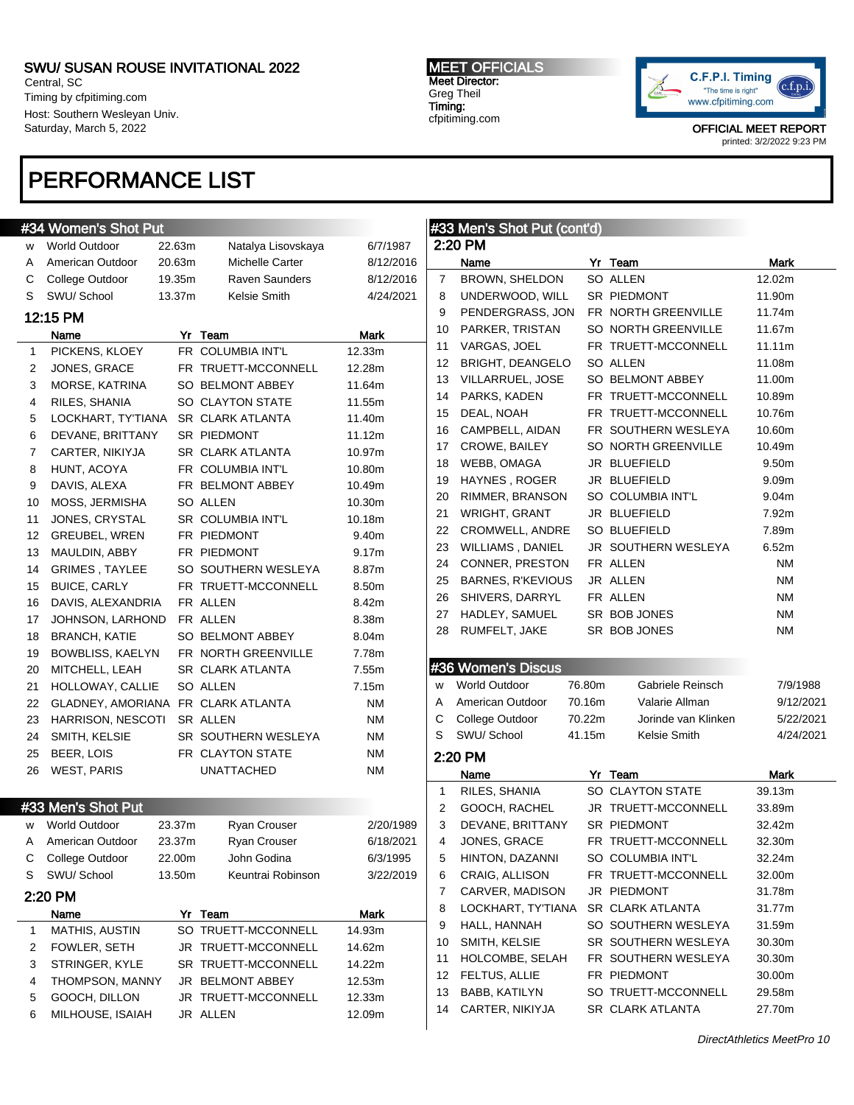Central, SC Timing by cfpitiming.com Host: Southern Wesleyan Univ. Saturday, March 5, 2022

## PERFORMANCE LIST

## **#34 Women's Shot Put**

| W              | <b>World Outdoor</b>               | 22.63m | Natalya Lisovskaya      | 6/7/1987    |
|----------------|------------------------------------|--------|-------------------------|-------------|
| A              | American Outdoor                   | 20.63m | Michelle Carter         | 8/12/2016   |
| C              | College Outdoor                    | 19.35m | Raven Saunders          | 8/12/2016   |
| S              | SWU/ School                        | 13.37m | Kelsie Smith            | 4/24/2021   |
|                | 12:15 PM                           |        |                         |             |
|                | Name                               |        | Yr Team                 | <b>Mark</b> |
| 1              | PICKENS, KLOEY                     |        | FR COLUMBIA INT'L       | 12.33m      |
| $\overline{2}$ | JONES, GRACE                       |        | FR TRUETT-MCCONNELL     | 12.28m      |
| 3              | MORSE, KATRINA                     |        | SO BELMONT ABBEY        | 11.64m      |
| 4              | RILES, SHANIA                      |        | SO CLAYTON STATE        | 11.55m      |
| 5              | LOCKHART, TY'TIANA                 |        | <b>SR CLARK ATLANTA</b> | 11.40m      |
| 6              | DEVANE, BRITTANY                   |        | SR PIEDMONT             | 11.12m      |
| 7              | CARTER, NIKIYJA                    |        | SR CLARK ATLANTA        | 10.97m      |
| 8              | HUNT, ACOYA                        |        | FR COLUMBIA INT'L       | 10.80m      |
| 9              | DAVIS, ALEXA                       |        | FR BELMONT ABBEY        | 10.49m      |
| 10             | MOSS, JERMISHA                     |        | SO ALLEN                | 10.30m      |
| 11             | JONES, CRYSTAL                     |        | SR COLUMBIA INT'L       | 10.18m      |
| 12             | <b>GREUBEL, WREN</b>               |        | FR PIEDMONT             | 9.40m       |
| 13             | MAULDIN, ABBY                      |        | FR PIEDMONT             | 9.17m       |
| 14             | <b>GRIMES, TAYLEE</b>              |        | SO SOUTHERN WESLEYA     | 8.87m       |
| 15             | <b>BUICE, CARLY</b>                |        | FR TRUETT-MCCONNELL     | 8.50m       |
| 16             | DAVIS, ALEXANDRIA                  |        | FR ALLEN                | 8.42m       |
| 17             | JOHNSON, LARHOND                   |        | FR ALLEN                | 8.38m       |
| 18             | <b>BRANCH, KATIE</b>               |        | SO BELMONT ABBEY        | 8.04m       |
| 19             | <b>BOWBLISS, KAELYN</b>            |        | FR NORTH GREENVILLE     | 7.78m       |
| 20             | MITCHELL, LEAH                     |        | SR CLARK ATLANTA        | 7.55m       |
| 21             | HOLLOWAY, CALLIE                   |        | <b>SO ALLEN</b>         | 7.15m       |
| 22             | GLADNEY, AMORIANA FR CLARK ATLANTA |        |                         | <b>NM</b>   |
| 23             | HARRISON, NESCOTI                  |        | SR ALLEN                | <b>NM</b>   |
| 24             | SMITH, KELSIE                      |        | SR SOUTHERN WESLEYA     | <b>NM</b>   |
| 25             | BEER, LOIS                         |        | FR CLAYTON STATE        | <b>NM</b>   |
| 26             | <b>WEST, PARIS</b>                 |        | <b>UNATTACHED</b>       | <b>NM</b>   |
|                |                                    |        |                         |             |
|                | #33 Men's Shot Put                 |        |                         |             |

| w | World Outdoor          | 23.37m | <b>Ryan Crouser</b>     | 2/20/1989 |
|---|------------------------|--------|-------------------------|-----------|
| A | American Outdoor       | 23.37m | <b>Ryan Crouser</b>     | 6/18/2021 |
| С | College Outdoor        | 22.00m | John Godina             | 6/3/1995  |
| S | SWU/School             | 13.50m | Keuntrai Robinson       | 3/22/2019 |
|   | 2:20 PM                |        |                         |           |
|   | Name                   | Yr     | Team                    | Mark      |
| 1 | <b>MATHIS, AUSTIN</b>  |        | SO TRUETT-MCCONNELL     | 14.93m    |
| 2 | <b>FOWLER, SETH</b>    |        | JR TRUETT-MCCONNELL     | 14.62m    |
| 3 | STRINGER, KYLE         |        | SR TRUETT-MCCONNELL     | 14.22m    |
| 4 | <b>THOMPSON, MANNY</b> |        | <b>JR BELMONT ABBEY</b> | 12.53m    |
| 5 | GOOCH, DILLON          |        | JR TRUETT-MCCONNELL     | 12.33m    |
| 6 | MILHOUSE, ISAIAH       |        | JR ALLEN                | 12.09m    |

#### MEET OFFICIALS Meet Director: Greg Theil Timing: cfpitiming.com



|              | #33 Men's Shot Put (cont'd)      |        |                                         |                   |
|--------------|----------------------------------|--------|-----------------------------------------|-------------------|
|              | 2:20 PM                          |        |                                         |                   |
|              | Name                             |        | Yr Team                                 | Mark              |
| 7            | BROWN, SHELDON                   |        | SO ALLEN                                | 12.02m            |
| 8            | UNDERWOOD, WILL                  |        | <b>SR PIEDMONT</b>                      | 11.90m            |
| 9            |                                  |        | PENDERGRASS, JON FR NORTH GREENVILLE    | 11.74m            |
| 10           | PARKER, TRISTAN                  |        | SO NORTH GREENVILLE                     | 11.67m            |
| 11           | VARGAS, JOEL                     |        | FR TRUETT-MCCONNELL                     | 11.11m            |
| 12           | BRIGHT, DEANGELO                 |        | SO ALLEN                                | 11.08m            |
| 13           | VILLARRUEL, JOSE                 |        | SO BELMONT ABBEY                        | 11.00m            |
| 14           | PARKS, KADEN                     |        | FR TRUETT-MCCONNELL                     | 10.89m            |
| 15           | DEAL, NOAH                       |        | FR TRUETT-MCCONNELL                     | 10.76m            |
| 16           | CAMPBELL, AIDAN                  |        | FR SOUTHERN WESLEYA                     | 10.60m            |
| 17           | CROWE, BAILEY                    |        | SO NORTH GREENVILLE                     | 10.49m            |
| 18           | WEBB, OMAGA                      |        | JR BLUEFIELD                            | 9.50m             |
| 19           | HAYNES, ROGER                    |        | JR BLUEFIELD                            | 9.09 <sub>m</sub> |
| 20           | RIMMER, BRANSON                  |        | SO COLUMBIA INT'L                       | 9.04 <sub>m</sub> |
| 21           | WRIGHT, GRANT                    |        | JR BLUEFIELD                            | 7.92m             |
| 22           | CROMWELL, ANDRE                  |        | <b>SO BLUEFIELD</b>                     | 7.89m             |
| 23           | WILLIAMS, DANIEL                 |        | JR SOUTHERN WESLEYA                     | 6.52m             |
| 24           | CONNER, PRESTON FR ALLEN         |        |                                         | <b>NM</b>         |
| 25           | BARNES, R'KEVIOUS                |        | JR ALLEN                                | ΝM                |
| 26           | SHIVERS, DARRYL FR ALLEN         |        |                                         | ΝM                |
| 27           | HADLEY, SAMUEL SR BOB JONES      |        |                                         | ΝM                |
| 28           | RUMFELT, JAKE                    |        | SR BOB JONES                            | <b>NM</b>         |
|              |                                  |        |                                         |                   |
|              |                                  |        |                                         |                   |
|              | #36 Women's Discus               |        |                                         |                   |
| W            | <b>World Outdoor</b>             | 76.80m | Gabriele Reinsch                        | 7/9/1988          |
| A            | American Outdoor                 | 70.16m | Valarie Allman                          | 9/12/2021         |
| С            | College Outdoor                  | 70.22m | Jorinde van Klinken                     | 5/22/2021         |
| S            | SWU/ School                      | 41.15m | Kelsie Smith                            | 4/24/2021         |
|              | 2:20 PM                          |        |                                         |                   |
|              | Name                             |        | Yr Team                                 | Mark              |
| $\mathbf{1}$ | RILES, SHANIA                    |        | SO CLAYTON STATE                        | 39.13m            |
| 2            | GOOCH, RACHEL                    |        | JR TRUETT-MCCONNELL                     | 33.89m            |
| 3            | DEVANE, BRITTANY                 |        | SR PIEDMONT                             | 32.42m            |
| 4            | JONES, GRACE                     |        | FR TRUETT-MCCONNELL                     | 32.30m            |
| 5            | HINTON, DAZANNI                  |        | SO COLUMBIA INT'L                       | 32.24m            |
| 6            | CRAIG, ALLISON                   |        | FR TRUETT-MCCONNELL                     | 32.00m            |
| 7            | CARVER, MADISON                  |        | JR PIEDMONT                             | 31.78m            |
| 8            | LOCKHART, TY'TIANA               |        | SR CLARK ATLANTA                        | 31.77m            |
| 9            | HALL, HANNAH                     |        | SO SOUTHERN WESLEYA                     | 31.59m            |
| 10           | SMITH, KELSIE                    |        | SR SOUTHERN WESLEYA                     | 30.30m            |
|              |                                  |        | FR SOUTHERN WESLEYA                     | 30.30m            |
| 11           | HOLCOMBE, SELAH                  |        |                                         |                   |
|              |                                  |        |                                         |                   |
| 12           | FELTUS, ALLIE                    |        | FR PIEDMONT                             | 30.00m            |
| 13<br>14     | BABB, KATILYN<br>CARTER, NIKIYJA |        | SO TRUETT-MCCONNELL<br>SR CLARK ATLANTA | 29.58m<br>27.70m  |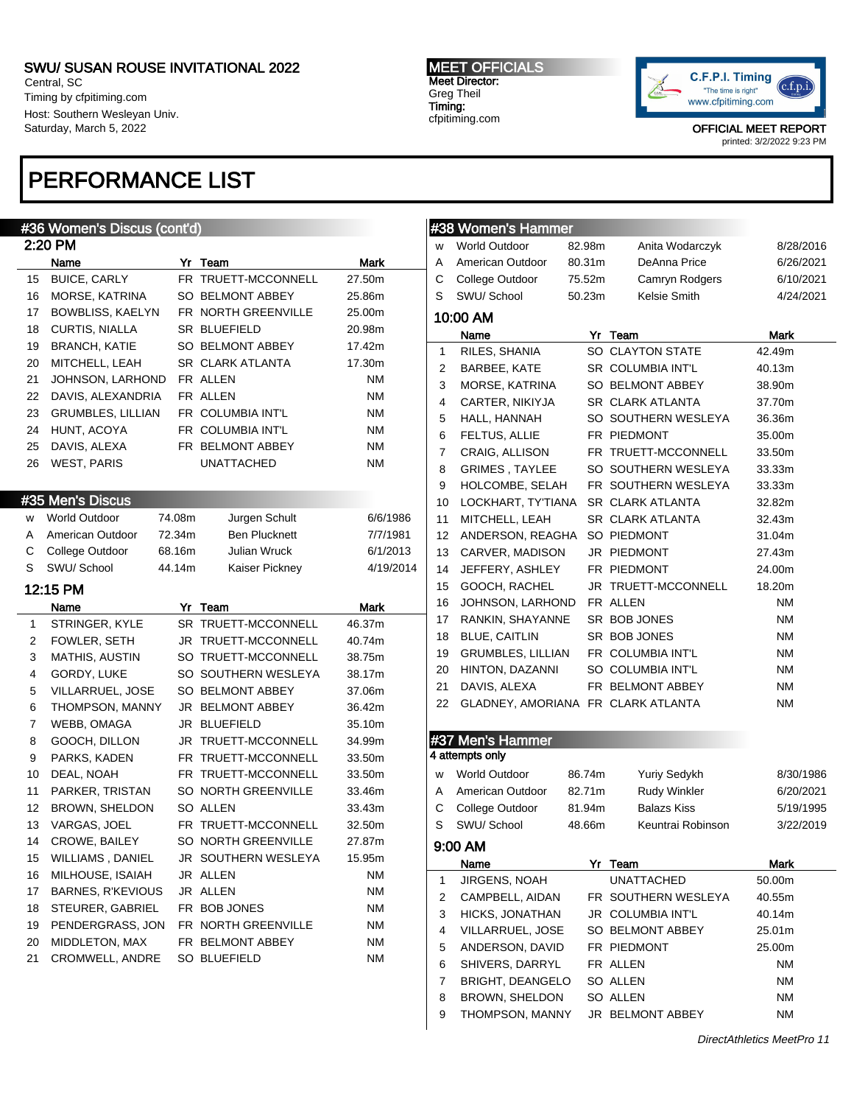Central, SC Timing by cfpitiming.com Host: Southern Wesleyan Univ. Saturday, March 5, 2022

## PERFORMANCE LIST

#### MEET OFFICIALS Meet Director: Greg Theil Timing:

cfpitiming.com



OFFICIAL MEET REPORT

printed: 3/2/2022 9:23 PM

|          | #36 Women's Discus (cont'd)       |        |                                  |                 |  |
|----------|-----------------------------------|--------|----------------------------------|-----------------|--|
| 2:20 PM  |                                   |        |                                  |                 |  |
|          | Name                              |        | Yr Team                          | Mark            |  |
| 15       | <b>BUICE, CARLY</b>               |        | FR TRUETT-MCCONNELL              | 27.50m          |  |
| 16       | MORSE, KATRINA                    |        | SO BELMONT ABBEY                 | 25.86m          |  |
| 17       | <b>BOWBLISS, KAELYN</b>           |        | FR NORTH GREENVILLE              | 25.00m          |  |
| 18       | CURTIS, NIALLA                    |        | SR BLUEFIELD                     | 20.98m          |  |
| 19       | <b>BRANCH, KATIE</b>              |        | SO BELMONT ABBEY                 | 17.42m          |  |
| 20       | MITCHELL, LEAH                    |        | SR CLARK ATLANTA                 | 17.30m          |  |
| 21       | JOHNSON, LARHOND                  |        | FR ALLEN                         | ΝM              |  |
| 22       | DAVIS, ALEXANDRIA                 |        | FR ALLEN                         | ΝM              |  |
| 23       | <b>GRUMBLES, LILLIAN</b>          |        | FR COLUMBIA INT'L                | ΝM              |  |
| 24       | HUNT, ACOYA                       |        | FR COLUMBIA INT'L                | ΝM              |  |
| 25       | DAVIS, ALEXA                      |        | FR BELMONT ABBEY                 | ΝM              |  |
| 26       | <b>WEST, PARIS</b>                |        | <b>UNATTACHED</b>                | ΝM              |  |
|          |                                   |        |                                  |                 |  |
|          | #35 Men's Discus                  |        |                                  |                 |  |
| W        | <b>World Outdoor</b>              | 74.08m | Jurgen Schult                    | 6/6/1986        |  |
| A        | American Outdoor                  | 72.34m | <b>Ben Plucknett</b>             | 7/7/1981        |  |
| С        | College Outdoor                   | 68.16m | <b>Julian Wruck</b>              | 6/1/2013        |  |
| S        | SWU/ School                       | 44.14m | Kaiser Pickney                   | 4/19/2014       |  |
|          |                                   |        |                                  |                 |  |
|          | 12:15 PM                          |        |                                  |                 |  |
|          |                                   |        |                                  |                 |  |
|          | Name                              |        | Yr Team                          | Mark            |  |
| 1        | STRINGER, KYLE                    |        | SR TRUETT-MCCONNELL              | 46.37m          |  |
| 2        | FOWLER, SETH                      |        | JR TRUETT-MCCONNELL              | 40.74m          |  |
| 3        | <b>MATHIS, AUSTIN</b>             |        | SO TRUETT-MCCONNELL              | 38.75m          |  |
| 4        | GORDY, LUKE                       |        | SO SOUTHERN WESLEYA              | 38.17m          |  |
| 5        | VILLARRUEL, JOSE                  |        | SO BELMONT ABBEY                 | 37.06m          |  |
| 6        | THOMPSON, MANNY                   |        | JR BELMONT ABBEY                 | 36.42m          |  |
| 7        | WEBB, OMAGA                       |        | JR BLUEFIELD                     | 35.10m          |  |
| 8        | GOOCH, DILLON                     |        | JR TRUETT-MCCONNELL              | 34.99m          |  |
| 9        | PARKS, KADEN                      |        | FR TRUETT-MCCONNELL              | 33.50m          |  |
| 10       | DEAL, NOAH                        |        | FR TRUETT-MCCONNELL              | 33.50m          |  |
| 11       | PARKER, TRISTAN                   |        | SO NORTH GREENVILLE              | 33.46m          |  |
| 12       | <b>BROWN, SHELDON</b>             |        | SO ALLEN                         | 33.43m          |  |
| 13       | VARGAS, JOEL                      |        | FR TRUETT-MCCONNELL              | 32.50m          |  |
| 14       | CROWE, BAILEY                     |        | SO NORTH GREENVILLE              | 27.87m          |  |
| 15       | WILLIAMS, DANIEL                  |        | JR SOUTHERN WESLEYA              | 15.95m          |  |
| 16       | MILHOUSE, ISAIAH                  |        | JR ALLEN                         | <b>NM</b>       |  |
| 17       | <b>BARNES, R'KEVIOUS</b>          |        | JR ALLEN                         | <b>NM</b>       |  |
| 18       | STEURER, GABRIEL                  |        | FR BOB JONES                     | <b>NM</b>       |  |
| 19       | PENDERGRASS, JON                  |        | FR NORTH GREENVILLE              | <b>NM</b>       |  |
| 20<br>21 | MIDDLETON, MAX<br>CROMWELL, ANDRE |        | FR BELMONT ABBEY<br>SO BLUEFIELD | <b>NM</b><br>ΝM |  |

# **#38 Women's Hammer**

|                  | <u>"~</u> | <u><b>UNION LUMBER</b></u>         |        |                         |           |
|------------------|-----------|------------------------------------|--------|-------------------------|-----------|
|                  | w         | <b>World Outdoor</b>               | 82.98m | Anita Wodarczyk         | 8/28/2016 |
|                  | Α         | American Outdoor                   | 80.31m | DeAnna Price            | 6/26/2021 |
|                  | С         | College Outdoor                    | 75.52m | Camryn Rodgers          | 6/10/2021 |
|                  | S         | SWU/ School                        | 50.23m | Kelsie Smith            | 4/24/2021 |
| 10:00 AM         |           |                                    |        |                         |           |
|                  |           | Name                               |        | Yr Team                 | Mark      |
|                  | 1         | RILES, SHANIA                      |        | SO CLAYTON STATE        | 42.49m    |
|                  | 2         | BARBEE, KATE                       |        | SR COLUMBIA INT'L       | 40.13m    |
|                  | 3         | MORSE, KATRINA                     |        | SO BELMONT ABBEY        | 38.90m    |
|                  | 4         | CARTER, NIKIYJA                    |        | <b>SR CLARK ATLANTA</b> | 37.70m    |
|                  | 5         | HALL, HANNAH                       |        | SO SOUTHERN WESLEYA     | 36.36m    |
|                  | 6         | FELTUS, ALLIE                      |        | FR PIEDMONT             | 35.00m    |
|                  | 7         | CRAIG, ALLISON                     |        | FR TRUETT-MCCONNELL     | 33.50m    |
|                  | 8         | GRIMES, TAYLEE                     |        | SO SOUTHERN WESLEYA     | 33.33m    |
|                  | 9         | HOLCOMBE, SELAH                    |        | FR SOUTHERN WESLEYA     | 33.33m    |
|                  | 10        | LOCKHART, TY'TIANA                 |        | SR CLARK ATLANTA        | 32.82m    |
|                  | 11        | MITCHELL, LEAH                     |        | SR CLARK ATLANTA        | 32.43m    |
|                  | 12        | ANDERSON, REAGHA                   |        | SO PIEDMONT             | 31.04m    |
|                  | 13        | CARVER, MADISON                    |        | JR PIEDMONT             | 27.43m    |
|                  | 14        | JEFFERY, ASHLEY                    |        | FR PIEDMONT             | 24.00m    |
|                  | 15        | GOOCH, RACHEL                      |        | JR TRUETT-MCCONNELL     | 18.20m    |
|                  | 16        | JOHNSON, LARHOND                   |        | FR ALLEN                | <b>NM</b> |
|                  | 17        | RANKIN, SHAYANNE                   |        | SR BOB JONES            | ΝM        |
|                  | 18        | <b>BLUE, CAITLIN</b>               |        | SR BOB JONES            | ΝM        |
|                  | 19        | GRUMBLES, LILLIAN                  |        | FR COLUMBIA INT'L       | ΝM        |
|                  | 20        | HINTON, DAZANNI                    |        | SO COLUMBIA INT'L       | ΝM        |
|                  | 21        | DAVIS, ALEXA                       |        | FR BELMONT ABBEY        | <b>NM</b> |
|                  | 22        | GLADNEY, AMORIANA FR CLARK ATLANTA |        |                         | <b>NM</b> |
|                  |           |                                    |        |                         |           |
| #37 Men's Hammer |           |                                    |        |                         |           |
|                  |           | 4 attempts only                    |        |                         |           |
|                  | W         | <b>World Outdoor</b>               | 86.74m | <b>Yuriy Sedykh</b>     | 8/30/1986 |
|                  | A         | American Outdoor                   | 82.71m | <b>Rudy Winkler</b>     | 6/20/2021 |
|                  | С         | College Outdoor                    | 81.94m | <b>Balazs Kiss</b>      | 5/19/1995 |
|                  | S         | SWU/ School                        | 48.66m | Keuntrai Robinson       | 3/22/2019 |
| 9:00 AM          |           |                                    |        |                         |           |
|                  |           | Name                               | Yr     | Team                    | Mark      |
|                  | 1         | JIRGENS, NOAH                      |        | UNATTACHED              | 50.00m    |
|                  | 2         | CAMPBELL, AIDAN                    |        | FR SOUTHERN WESLEYA     | 40.55m    |
|                  | 3         | HICKS, JONATHAN                    |        | JR COLUMBIA INT'L       | 40.14m    |
|                  | 4         | VILLARRUEL, JOSE                   |        | SO BELMONT ABBEY        | 25.01m    |
|                  | 5         | ANDERSON, DAVID                    |        | FR PIEDMONT             | 25.00m    |
|                  | 6         | SHIVERS, DARRYL                    |        | FR ALLEN                | <b>NM</b> |
|                  | 7         | <b>BRIGHT, DEANGELO</b>            |        | SO ALLEN                | NM        |
|                  | 8         | BROWN, SHELDON                     |        | SO ALLEN                | ΝM        |
|                  | 9         | THOMPSON, MANNY                    |        | JR BELMONT ABBEY        | ΝM        |
|                  |           |                                    |        |                         |           |